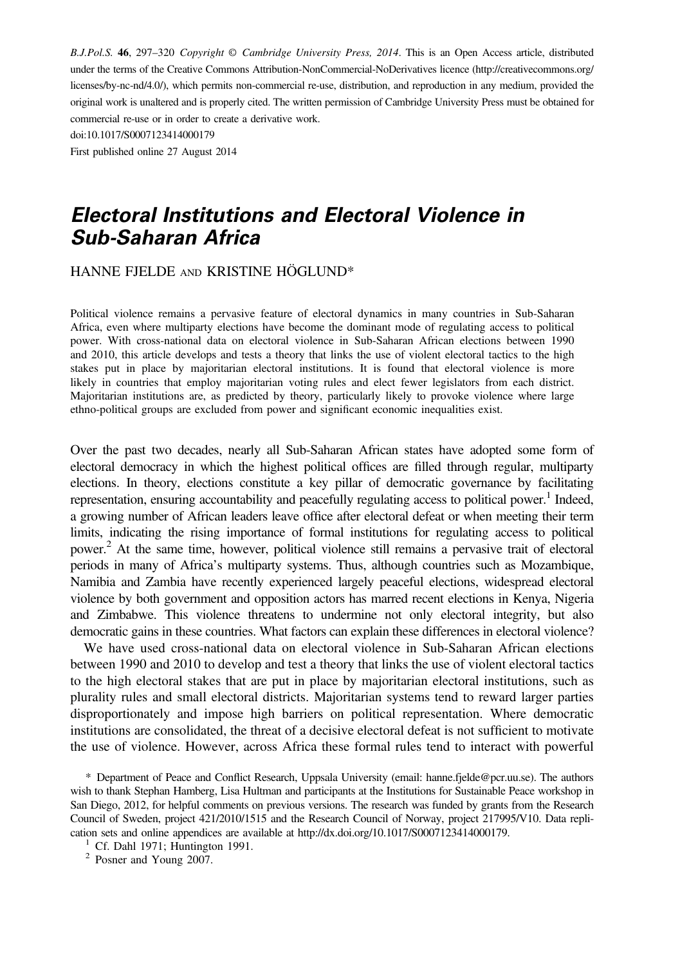B.J.Pol.S. 46, 297-320 Copyright © Cambridge University Press, 2014. This is an Open Access article, distributed under the terms of the Creative Commons Attribution-NonCommercial-NoDerivatives licence (http://creativecommons.org/ licenses/by-nc-nd/4.0/), which permits non-commercial re-use, distribution, and reproduction in any medium, provided the original work is unaltered and is properly cited. The written permission of Cambridge University Press must be obtained for commercial re-use or in order to create a derivative work.

doi:10.1017/S0007123414000179

First published online 27 August 2014

# Electoral Institutions and Electoral Violence in Sub-Saharan Africa

HANNE FJELDE AND KRISTINE HÖGLUND\*

Political violence remains a pervasive feature of electoral dynamics in many countries in Sub-Saharan Africa, even where multiparty elections have become the dominant mode of regulating access to political power. With cross-national data on electoral violence in Sub-Saharan African elections between 1990 and 2010, this article develops and tests a theory that links the use of violent electoral tactics to the high stakes put in place by majoritarian electoral institutions. It is found that electoral violence is more likely in countries that employ majoritarian voting rules and elect fewer legislators from each district. Majoritarian institutions are, as predicted by theory, particularly likely to provoke violence where large ethno-political groups are excluded from power and significant economic inequalities exist.

Over the past two decades, nearly all Sub-Saharan African states have adopted some form of electoral democracy in which the highest political offices are filled through regular, multiparty elections. In theory, elections constitute a key pillar of democratic governance by facilitating representation, ensuring accountability and peacefully regulating access to political power.<sup>1</sup> Indeed, a growing number of African leaders leave office after electoral defeat or when meeting their term limits, indicating the rising importance of formal institutions for regulating access to political power.2 At the same time, however, political violence still remains a pervasive trait of electoral periods in many of Africa's multiparty systems. Thus, although countries such as Mozambique, Namibia and Zambia have recently experienced largely peaceful elections, widespread electoral violence by both government and opposition actors has marred recent elections in Kenya, Nigeria and Zimbabwe. This violence threatens to undermine not only electoral integrity, but also democratic gains in these countries. What factors can explain these differences in electoral violence?

We have used cross-national data on electoral violence in Sub-Saharan African elections between 1990 and 2010 to develop and test a theory that links the use of violent electoral tactics to the high electoral stakes that are put in place by majoritarian electoral institutions, such as plurality rules and small electoral districts. Majoritarian systems tend to reward larger parties disproportionately and impose high barriers on political representation. Where democratic institutions are consolidated, the threat of a decisive electoral defeat is not sufficient to motivate the use of violence. However, across Africa these formal rules tend to interact with powerful

\* Department of Peace and Conflict Research, Uppsala University (email: [hanne.fjelde@pcr.uu.se\)](mailto:hanne.fjelde@pcr.uu.se). The authors wish to thank Stephan Hamberg, Lisa Hultman and participants at the Institutions for Sustainable Peace workshop in San Diego, 2012, for helpful comments on previous versions. The research was funded by grants from the Research Council of Sweden, project 421/2010/1515 and the Research Council of Norway, project 217995/V10. Data replication sets and online appendices are available at<http://dx.doi.org/10.1017/S0007123414000179>.<br>
<sup>1</sup> Cf. Dahl [1971;](#page-21-0) Huntington [1991.](#page-21-0)<br>
<sup>2</sup> Posner and Young [2007.](#page-22-0)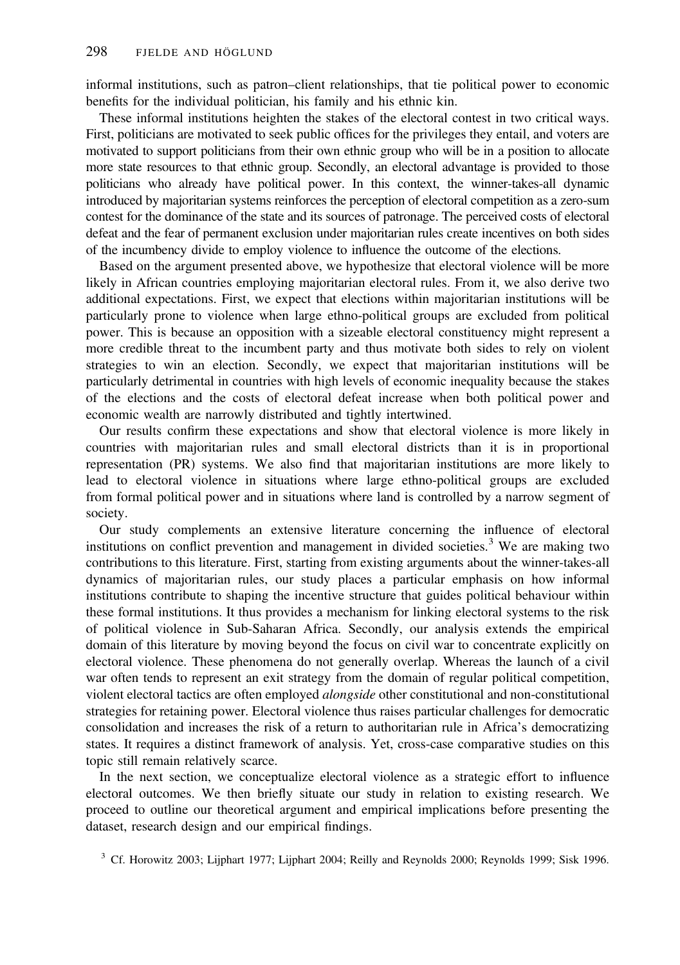informal institutions, such as patron–client relationships, that tie political power to economic benefits for the individual politician, his family and his ethnic kin.

These informal institutions heighten the stakes of the electoral contest in two critical ways. First, politicians are motivated to seek public offices for the privileges they entail, and voters are motivated to support politicians from their own ethnic group who will be in a position to allocate more state resources to that ethnic group. Secondly, an electoral advantage is provided to those politicians who already have political power. In this context, the winner-takes-all dynamic introduced by majoritarian systems reinforces the perception of electoral competition as a zero-sum contest for the dominance of the state and its sources of patronage. The perceived costs of electoral defeat and the fear of permanent exclusion under majoritarian rules create incentives on both sides of the incumbency divide to employ violence to influence the outcome of the elections.

Based on the argument presented above, we hypothesize that electoral violence will be more likely in African countries employing majoritarian electoral rules. From it, we also derive two additional expectations. First, we expect that elections within majoritarian institutions will be particularly prone to violence when large ethno-political groups are excluded from political power. This is because an opposition with a sizeable electoral constituency might represent a more credible threat to the incumbent party and thus motivate both sides to rely on violent strategies to win an election. Secondly, we expect that majoritarian institutions will be particularly detrimental in countries with high levels of economic inequality because the stakes of the elections and the costs of electoral defeat increase when both political power and economic wealth are narrowly distributed and tightly intertwined.

Our results confirm these expectations and show that electoral violence is more likely in countries with majoritarian rules and small electoral districts than it is in proportional representation (PR) systems. We also find that majoritarian institutions are more likely to lead to electoral violence in situations where large ethno-political groups are excluded from formal political power and in situations where land is controlled by a narrow segment of society.

Our study complements an extensive literature concerning the influence of electoral institutions on conflict prevention and management in divided societies.<sup>3</sup> We are making two contributions to this literature. First, starting from existing arguments about the winner-takes-all dynamics of majoritarian rules, our study places a particular emphasis on how informal institutions contribute to shaping the incentive structure that guides political behaviour within these formal institutions. It thus provides a mechanism for linking electoral systems to the risk of political violence in Sub-Saharan Africa. Secondly, our analysis extends the empirical domain of this literature by moving beyond the focus on civil war to concentrate explicitly on electoral violence. These phenomena do not generally overlap. Whereas the launch of a civil war often tends to represent an exit strategy from the domain of regular political competition, violent electoral tactics are often employed alongside other constitutional and non-constitutional strategies for retaining power. Electoral violence thus raises particular challenges for democratic consolidation and increases the risk of a return to authoritarian rule in Africa's democratizing states. It requires a distinct framework of analysis. Yet, cross-case comparative studies on this topic still remain relatively scarce.

In the next section, we conceptualize electoral violence as a strategic effort to influence electoral outcomes. We then briefly situate our study in relation to existing research. We proceed to outline our theoretical argument and empirical implications before presenting the dataset, research design and our empirical findings.

<sup>3</sup> Cf. Horowitz [2003](#page-21-0); Lijphart [1977](#page-22-0); Lijphart [2004;](#page-22-0) Reilly and Reynolds [2000;](#page-22-0) Reynolds [1999;](#page-23-0) Sisk [1996.](#page-23-0)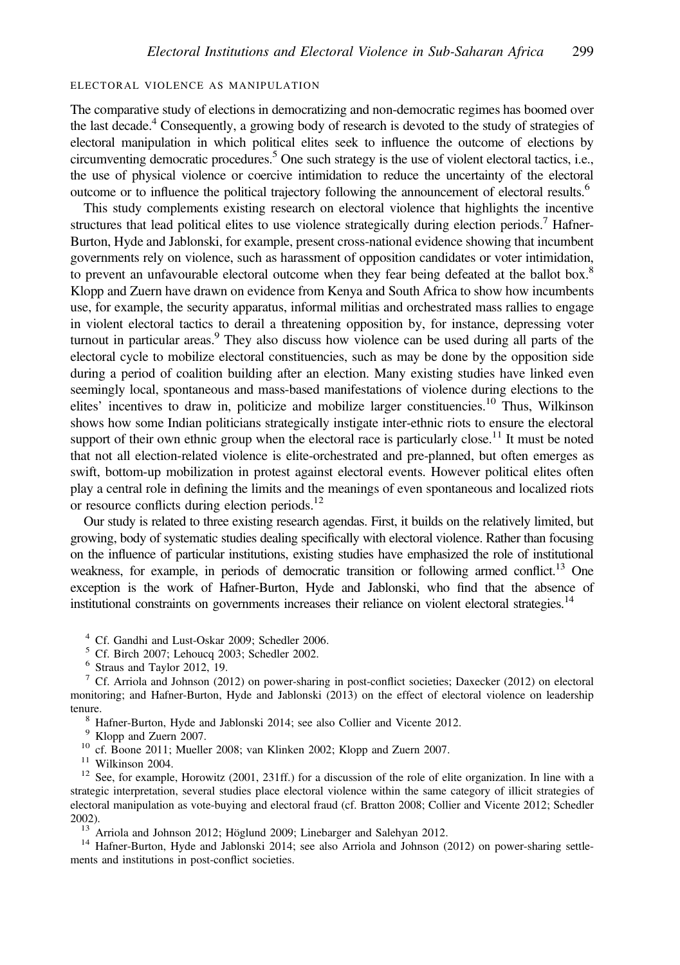### ELECTORAL VIOLENCE AS MANIPULATION

The comparative study of elections in democratizing and non-democratic regimes has boomed over the last decade.<sup>4</sup> Consequently, a growing body of research is devoted to the study of strategies of electoral manipulation in which political elites seek to influence the outcome of elections by circumventing democratic procedures.<sup>5</sup> One such strategy is the use of violent electoral tactics, i.e., the use of physical violence or coercive intimidation to reduce the uncertainty of the electoral outcome or to influence the political trajectory following the announcement of electoral results.<sup>6</sup>

This study complements existing research on electoral violence that highlights the incentive structures that lead political elites to use violence strategically during election periods.<sup>7</sup> Hafner-Burton, Hyde and Jablonski, for example, present cross-national evidence showing that incumbent governments rely on violence, such as harassment of opposition candidates or voter intimidation, to prevent an unfavourable electoral outcome when they fear being defeated at the ballot box.<sup>8</sup> Klopp and Zuern have drawn on evidence from Kenya and South Africa to show how incumbents use, for example, the security apparatus, informal militias and orchestrated mass rallies to engage in violent electoral tactics to derail a threatening opposition by, for instance, depressing voter turnout in particular areas.<sup>9</sup> They also discuss how violence can be used during all parts of the electoral cycle to mobilize electoral constituencies, such as may be done by the opposition side during a period of coalition building after an election. Many existing studies have linked even seemingly local, spontaneous and mass-based manifestations of violence during elections to the elites' incentives to draw in, politicize and mobilize larger constituencies.<sup>10</sup> Thus, Wilkinson shows how some Indian politicians strategically instigate inter-ethnic riots to ensure the electoral support of their own ethnic group when the electoral race is particularly close.<sup>11</sup> It must be noted that not all election-related violence is elite-orchestrated and pre-planned, but often emerges as swift, bottom-up mobilization in protest against electoral events. However political elites often play a central role in defining the limits and the meanings of even spontaneous and localized riots or resource conflicts during election periods.<sup>12</sup>

Our study is related to three existing research agendas. First, it builds on the relatively limited, but growing, body of systematic studies dealing specifically with electoral violence. Rather than focusing on the influence of particular institutions, existing studies have emphasized the role of institutional weakness, for example, in periods of democratic transition or following armed conflict.<sup>13</sup> One exception is the work of Hafner-Burton, Hyde and Jablonski, who find that the absence of institutional constraints on governments increases their reliance on violent electoral strategies.<sup>14</sup>

<sup>4</sup> Cf. Gandhi and Lust-Oskar [2009](#page-21-0); Schedler [2006.](#page-23-0)<br>
<sup>5</sup> Cf. Birch [2007;](#page-20-0) Lehoucq [2003](#page-22-0); Schedler [2002](#page-23-0).<br>
<sup>6</sup> Straus and Taylor [2012,](#page-23-0) 19.<br>
<sup>7</sup> Cf. Arriola and Johnson ([2012\)](#page-20-0) on power-sharing in post-conflict societies; Daxeck monitoring; and Hafner-Burton, Hyde and Jablonski ([2013](#page-21-0)) on the effect of electoral violence on leadership

<sup>8</sup> Hafner-Burton, Hyde and Jablonski [2014;](#page-21-0) see also Collier and Vicente [2012.](#page-21-0)<br><sup>9</sup> Klopp and Zuern [2007.](#page-21-0)<br><sup>10</sup> cf. Boone [2011](#page-20-0); Mueller [2008;](#page-22-0) van Klinken [2002;](#page-23-0) Klopp and Zuern [2007](#page-21-0).<br><sup>11</sup> Wilkinson [2004.](#page-23-0)<br><sup>12</sup> See, for example strategic interpretation, several studies place electoral violence within the same category of illicit strategies of electoral manipulation as vote-buying and electoral fraud (cf. Bratton [2008](#page-21-0); Collier and Vicente [2012;](#page-21-0) Schedler [2002\)](#page-23-0).<br><sup>13</sup> Arriola and Johnson [2012;](#page-20-0) Höglund [2009;](#page-21-0) Linebarger and Salehyan [2012](#page-22-0).<br><sup>14</sup> Hafner-Burton, Hyde and Jablonski [2014](#page-21-0); see also Arriola and Johnson ([2012](#page-20-0)) on power-sharing settle-

ments and institutions in post-conflict societies.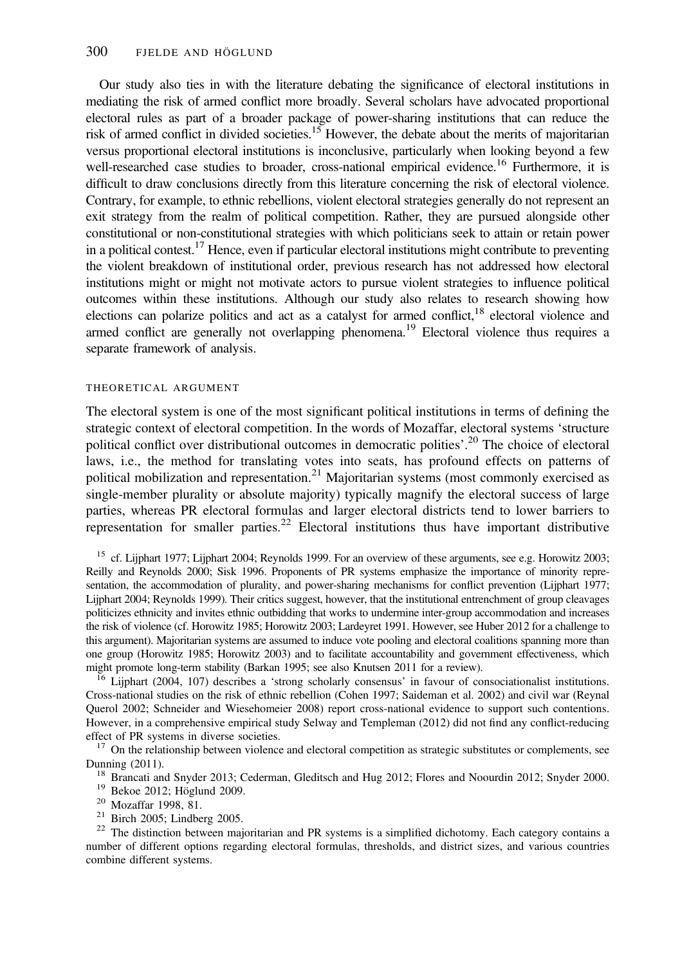Our study also ties in with the literature debating the significance of electoral institutions in mediating the risk of armed conflict more broadly. Several scholars have advocated proportional electoral rules as part of a broader package of power-sharing institutions that can reduce the risk of armed conflict in divided societies.<sup>15</sup> However, the debate about the merits of majoritarian versus proportional electoral institutions is inconclusive, particularly when looking beyond a few well-researched case studies to broader, cross-national empirical evidence.<sup>16</sup> Furthermore, it is difficult to draw conclusions directly from this literature concerning the risk of electoral violence. Contrary, for example, to ethnic rebellions, violent electoral strategies generally do not represent an exit strategy from the realm of political competition. Rather, they are pursued alongside other constitutional or non-constitutional strategies with which politicians seek to attain or retain power in a political contest.<sup>17</sup> Hence, even if particular electoral institutions might contribute to preventing the violent breakdown of institutional order, previous research has not addressed how electoral institutions might or might not motivate actors to pursue violent strategies to influence political outcomes within these institutions. Although our study also relates to research showing how elections can polarize politics and act as a catalyst for armed conflict,<sup>18</sup> electoral violence and armed conflict are generally not overlapping phenomena.19 Electoral violence thus requires a separate framework of analysis.

## THEORETICAL ARGUMENT

The electoral system is one of the most significant political institutions in terms of defining the strategic context of electoral competition. In the words of Mozaffar, electoral systems 'structure political conflict over distributional outcomes in democratic polities'.<sup>20</sup> The choice of electoral laws, i.e., the method for translating votes into seats, has profound effects on patterns of political mobilization and representation.<sup>21</sup> Majoritarian systems (most commonly exercised as single-member plurality or absolute majority) typically magnify the electoral success of large parties, whereas PR electoral formulas and larger electoral districts tend to lower barriers to representation for smaller parties.<sup>22</sup> Electoral institutions thus have important distributive

<sup>15</sup> cf. Lijphart [1977](#page-22-0); Lijphart [2004](#page-22-0); Reynolds [1999](#page-23-0). For an overview of these arguments, see e.g. Horowitz [2003;](#page-21-0) Reilly and Reynolds [2000;](#page-22-0) Sisk [1996](#page-23-0). Proponents of PR systems emphasize the importance of minority repre-sentation, the accommodation of plurality, and power-sharing mechanisms for conflict prevention (Lijphart [1977](#page-22-0); Lijphart [2004;](#page-22-0) Reynolds [1999](#page-23-0)). Their critics suggest, however, that the institutional entrenchment of group cleavages politicizes ethnicity and invites ethnic outbidding that works to undermine inter-group accommodation and increases the risk of violence (cf. Horowitz [1985](#page-21-0); Horowitz [2003](#page-21-0); Lardeyret [1991](#page-22-0). However, see Huber [2012](#page-21-0) for a challenge to this argument). Majoritarian systems are assumed to induce vote pooling and electoral coalitions spanning more than one group (Horowitz [1985](#page-21-0); Horowitz [2003](#page-21-0)) and to facilitate accountability and government effectiveness, which might promote long-term stability (Barkan [1995](#page-20-0); see also Knutsen [2011](#page-21-0) for a review).<br><sup>16</sup> Liiphart [\(2004](#page-22-0), 107) describes a 'strong scholarly consensus' in favour of consociationalist institutions.

Cross-national studies on the risk of ethnic rebellion (Cohen [1997](#page-21-0); Saideman et al. [2002](#page-23-0)) and civil war (Reynal Querol [2002;](#page-23-0) Schneider and Wiesehomeier [2008](#page-23-0)) report cross-national evidence to support such contentions. However, in a comprehensive empirical study Selway and Templeman ([2012\)](#page-23-0) did not find any conflict-reducing

effect of PR systems in diverse societies.<br><sup>17</sup> On the relationship between violence and electoral competition as strategic substitutes or complements, see<br>Dunning (2011).

- 
- 

<sup>18</sup> Brancati and Snyder [2013](#page-20-0); Cederman, Gleditsch and Hug [2012;](#page-20-0) Flores and Noourdin 2012; Snyder [2000](#page-23-0).<br><sup>19</sup> Bekoe 2012; Höglund [2009](#page-21-0).<br><sup>20</sup> Mozaffar [1998](#page-22-0), 81.<br><sup>21</sup> Birch [2005;](#page-20-0) Lindberg [2005.](#page-22-0)<br><sup>22</sup> The distinction between m number of different options regarding electoral formulas, thresholds, and district sizes, and various countries combine different systems.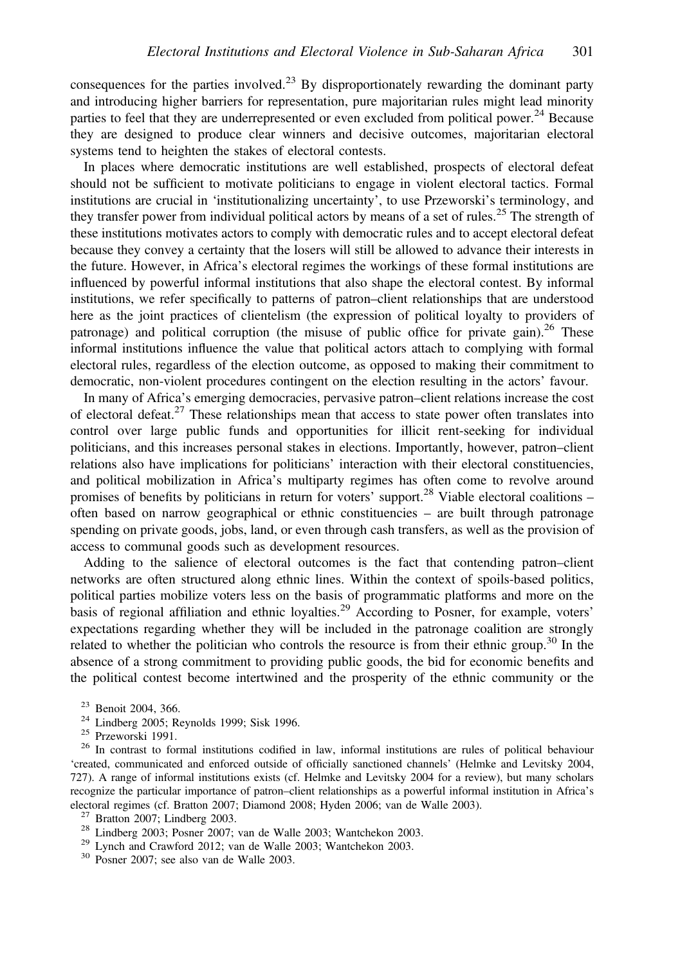consequences for the parties involved.<sup>23</sup> By disproportionately rewarding the dominant party and introducing higher barriers for representation, pure majoritarian rules might lead minority parties to feel that they are underrepresented or even excluded from political power.<sup>24</sup> Because they are designed to produce clear winners and decisive outcomes, majoritarian electoral systems tend to heighten the stakes of electoral contests.

In places where democratic institutions are well established, prospects of electoral defeat should not be sufficient to motivate politicians to engage in violent electoral tactics. Formal institutions are crucial in 'institutionalizing uncertainty', to use Przeworski's terminology, and they transfer power from individual political actors by means of a set of rules.<sup>25</sup> The strength of these institutions motivates actors to comply with democratic rules and to accept electoral defeat because they convey a certainty that the losers will still be allowed to advance their interests in the future. However, in Africa's electoral regimes the workings of these formal institutions are influenced by powerful informal institutions that also shape the electoral contest. By informal institutions, we refer specifically to patterns of patron–client relationships that are understood here as the joint practices of clientelism (the expression of political loyalty to providers of patronage) and political corruption (the misuse of public office for private gain).<sup>26</sup> These informal institutions influence the value that political actors attach to complying with formal electoral rules, regardless of the election outcome, as opposed to making their commitment to democratic, non-violent procedures contingent on the election resulting in the actors' favour.

In many of Africa's emerging democracies, pervasive patron–client relations increase the cost of electoral defeat.<sup>27</sup> These relationships mean that access to state power often translates into control over large public funds and opportunities for illicit rent-seeking for individual politicians, and this increases personal stakes in elections. Importantly, however, patron–client relations also have implications for politicians' interaction with their electoral constituencies, and political mobilization in Africa's multiparty regimes has often come to revolve around promises of benefits by politicians in return for voters' support.<sup>28</sup> Viable electoral coalitions – often based on narrow geographical or ethnic constituencies – are built through patronage spending on private goods, jobs, land, or even through cash transfers, as well as the provision of access to communal goods such as development resources.

Adding to the salience of electoral outcomes is the fact that contending patron–client networks are often structured along ethnic lines. Within the context of spoils-based politics, political parties mobilize voters less on the basis of programmatic platforms and more on the basis of regional affiliation and ethnic loyalties.<sup>29</sup> According to Posner, for example, voters' expectations regarding whether they will be included in the patronage coalition are strongly related to whether the politician who controls the resource is from their ethnic group.<sup>30</sup> In the absence of a strong commitment to providing public goods, the bid for economic benefits and the political contest become intertwined and the prosperity of the ethnic community or the

- 
- 

<sup>23</sup> Benoit [2004](#page-20-0), 366.<br><sup>24</sup> Lindberg [2005;](#page-22-0) Reynolds [1999](#page-23-0); Sisk [1996.](#page-23-0)<br><sup>25</sup> Przeworski [1991.](#page-22-0)<br><sup>26</sup> In contrast to formal institutions codified in law, informal institutions are rules of political behaviour 'created, communicated and enforced outside of officially sanctioned channels' (Helmke and Levitsky [2004,](#page-21-0) 727). A range of informal institutions exists (cf. Helmke and Levitsky [2004](#page-21-0) for a review), but many scholars recognize the particular importance of patron–client relationships as a powerful informal institution in Africa's electoral regimes (cf. Bratton [2007;](#page-22-0) Diamond [2008](#page-21-0); Hyden [2006](#page-21-0); van de Walle [2003\)](#page-23-0).<br><sup>27</sup> Bratton [2007](#page-22-0); Lindberg [2003.](#page-22-0)<br><sup>28</sup> Lindberg [2003;](#page-23-0) Posner 2007; van de Walle [2003](#page-23-0); Wantchekon 2003.<br><sup>29</sup> Lynch and Crawford [2012](#page-22-0); van d

- 
- 
- 
-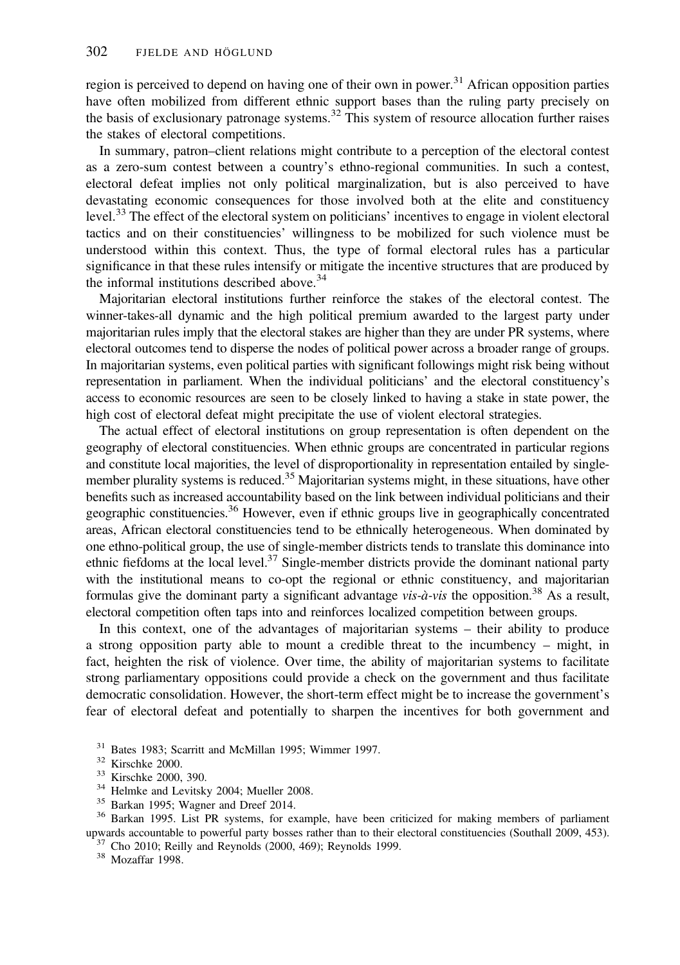region is perceived to depend on having one of their own in power.<sup>31</sup> African opposition parties have often mobilized from different ethnic support bases than the ruling party precisely on the basis of exclusionary patronage systems.<sup>32</sup> This system of resource allocation further raises the stakes of electoral competitions.

In summary, patron–client relations might contribute to a perception of the electoral contest as a zero-sum contest between a country's ethno-regional communities. In such a contest, electoral defeat implies not only political marginalization, but is also perceived to have devastating economic consequences for those involved both at the elite and constituency level.<sup>33</sup> The effect of the electoral system on politicians' incentives to engage in violent electoral tactics and on their constituencies' willingness to be mobilized for such violence must be understood within this context. Thus, the type of formal electoral rules has a particular significance in that these rules intensify or mitigate the incentive structures that are produced by the informal institutions described above.<sup>34</sup>

Majoritarian electoral institutions further reinforce the stakes of the electoral contest. The winner-takes-all dynamic and the high political premium awarded to the largest party under majoritarian rules imply that the electoral stakes are higher than they are under PR systems, where electoral outcomes tend to disperse the nodes of political power across a broader range of groups. In majoritarian systems, even political parties with significant followings might risk being without representation in parliament. When the individual politicians' and the electoral constituency's access to economic resources are seen to be closely linked to having a stake in state power, the high cost of electoral defeat might precipitate the use of violent electoral strategies.

The actual effect of electoral institutions on group representation is often dependent on the geography of electoral constituencies. When ethnic groups are concentrated in particular regions and constitute local majorities, the level of disproportionality in representation entailed by singlemember plurality systems is reduced.<sup>35</sup> Majoritarian systems might, in these situations, have other benefits such as increased accountability based on the link between individual politicians and their geographic constituencies.<sup>36</sup> However, even if ethnic groups live in geographically concentrated areas, African electoral constituencies tend to be ethnically heterogeneous. When dominated by one ethno-political group, the use of single-member districts tends to translate this dominance into ethnic fiefdoms at the local level.<sup>37</sup> Single-member districts provide the dominant national party with the institutional means to co-opt the regional or ethnic constituency, and majoritarian formulas give the dominant party a significant advantage  $vis-\lambda - vis$  the opposition.<sup>38</sup> As a result, electoral competition often taps into and reinforces localized competition between groups.

In this context, one of the advantages of majoritarian systems – their ability to produce a strong opposition party able to mount a credible threat to the incumbency – might, in fact, heighten the risk of violence. Over time, the ability of majoritarian systems to facilitate strong parliamentary oppositions could provide a check on the government and thus facilitate democratic consolidation. However, the short-term effect might be to increase the government's fear of electoral defeat and potentially to sharpen the incentives for both government and

<sup>31</sup> Bates [1983;](#page-20-0) Scarritt and McMillan [1995;](#page-23-0) Wimmer [1997](#page-23-0).<br><sup>32</sup> Kirschke [2000.](#page-21-0)<br><sup>33</sup> Kirschke [2000,](#page-21-0) 390.<br><sup>34</sup> Helmke and Levitsky [2004;](#page-21-0) Mueller [2008](#page-22-0).<br><sup>35</sup> Barkan [1995](#page-20-0); Wagner and Dreef [2014.](#page-23-0)<br><sup>36</sup> Barkan [1995.](#page-20-0) List PR system upwards accountable to powerful party bosses rather than to their electoral constituencies (Southall [2009,](#page-23-0) 453).<br><sup>37</sup> Cho [2010](#page-21-0); Reilly and Reynolds [\(2000](#page-22-0), 469); Reynolds [1999](#page-23-0).<br><sup>38</sup> Mozaffar [1998](#page-22-0).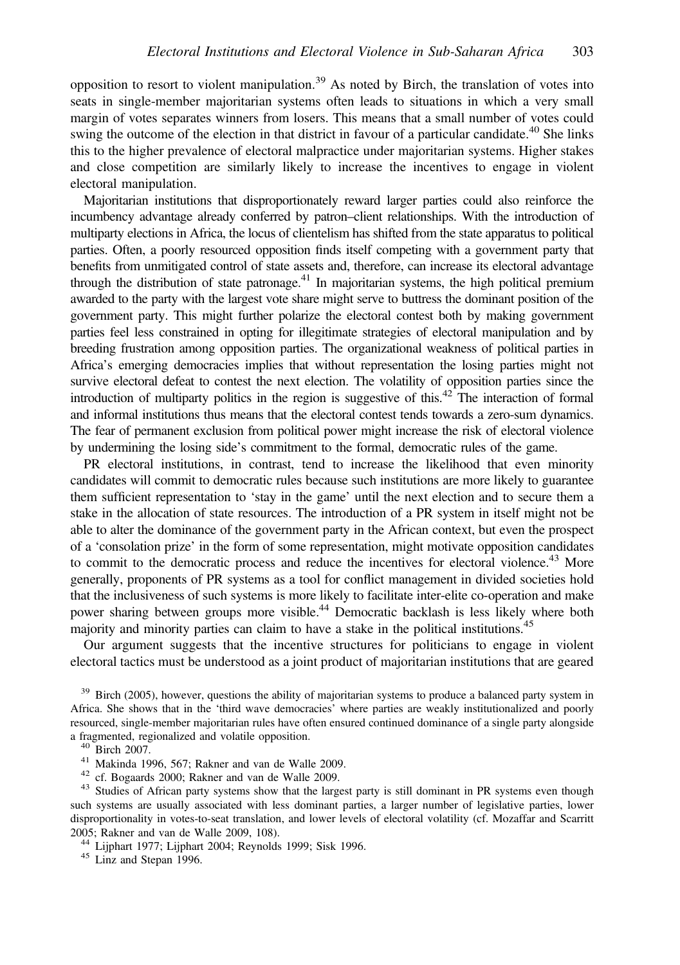opposition to resort to violent manipulation.<sup>39</sup> As noted by Birch, the translation of votes into seats in single-member majoritarian systems often leads to situations in which a very small margin of votes separates winners from losers. This means that a small number of votes could swing the outcome of the election in that district in favour of a particular candidate.<sup>40</sup> She links this to the higher prevalence of electoral malpractice under majoritarian systems. Higher stakes and close competition are similarly likely to increase the incentives to engage in violent electoral manipulation.

Majoritarian institutions that disproportionately reward larger parties could also reinforce the incumbency advantage already conferred by patron–client relationships. With the introduction of multiparty elections in Africa, the locus of clientelism has shifted from the state apparatus to political parties. Often, a poorly resourced opposition finds itself competing with a government party that benefits from unmitigated control of state assets and, therefore, can increase its electoral advantage through the distribution of state patronage.<sup>41</sup> In majoritarian systems, the high political premium awarded to the party with the largest vote share might serve to buttress the dominant position of the government party. This might further polarize the electoral contest both by making government parties feel less constrained in opting for illegitimate strategies of electoral manipulation and by breeding frustration among opposition parties. The organizational weakness of political parties in Africa's emerging democracies implies that without representation the losing parties might not survive electoral defeat to contest the next election. The volatility of opposition parties since the introduction of multiparty politics in the region is suggestive of this.<sup>42</sup> The interaction of formal and informal institutions thus means that the electoral contest tends towards a zero-sum dynamics. The fear of permanent exclusion from political power might increase the risk of electoral violence by undermining the losing side's commitment to the formal, democratic rules of the game.

PR electoral institutions, in contrast, tend to increase the likelihood that even minority candidates will commit to democratic rules because such institutions are more likely to guarantee them sufficient representation to 'stay in the game' until the next election and to secure them a stake in the allocation of state resources. The introduction of a PR system in itself might not be able to alter the dominance of the government party in the African context, but even the prospect of a 'consolation prize' in the form of some representation, might motivate opposition candidates to commit to the democratic process and reduce the incentives for electoral violence.<sup>43</sup> More generally, proponents of PR systems as a tool for conflict management in divided societies hold that the inclusiveness of such systems is more likely to facilitate inter-elite co-operation and make power sharing between groups more visible.<sup>44</sup> Democratic backlash is less likely where both majority and minority parties can claim to have a stake in the political institutions.<sup>45</sup>

Our argument suggests that the incentive structures for politicians to engage in violent electoral tactics must be understood as a joint product of majoritarian institutions that are geared

<sup>39</sup> Birch ([2005\)](#page-20-0), however, questions the ability of majoritarian systems to produce a balanced party system in Africa. She shows that in the 'third wave democracies' where parties are weakly institutionalized and poorly resourced, single-member majoritarian rules have often ensured continued dominance of a single party alongside a fragmented, regionalized and volatile opposition.<br>
<sup>40</sup> Birch [2007](#page-20-0).<br>
<sup>41</sup> Makinda [1996,](#page-22-0) 567; Rakner and van de Walle [2009](#page-22-0).<br>
<sup>42</sup> cf. Bogaards [2000](#page-20-0); Rakner and van de Walle [2009.](#page-22-0)<br>
<sup>43</sup> Studies of African party systems sho

such systems are usually associated with less dominant parties, a larger number of legislative parties, lower disproportionality in votes-to-seat translation, and lower levels of electoral volatility (cf. Mozaffar and Scarritt [2005;](#page-22-0) Rakner and van de Walle [2009,](#page-22-0) 108). <sup>44</sup> Lijphart [1977;](#page-22-0) Lijphart [2004;](#page-22-0) Reynolds [1999](#page-23-0); Sisk [1996.](#page-23-0) <sup>45</sup> Linz and Stepan [1996.](#page-22-0)

- 
-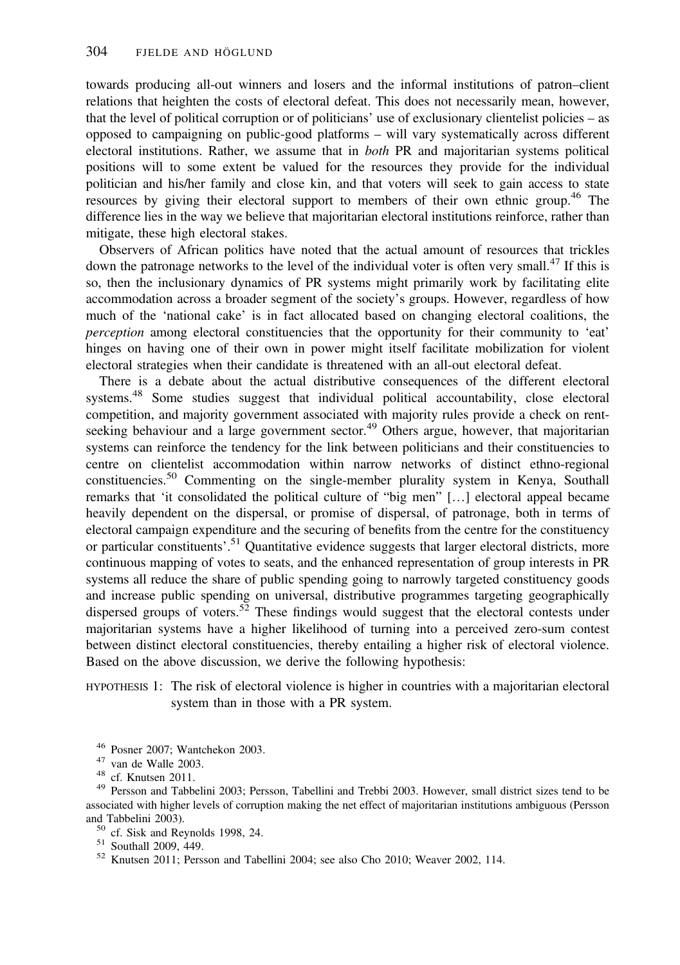towards producing all-out winners and losers and the informal institutions of patron–client relations that heighten the costs of electoral defeat. This does not necessarily mean, however, that the level of political corruption or of politicians' use of exclusionary clientelist policies – as opposed to campaigning on public-good platforms – will vary systematically across different electoral institutions. Rather, we assume that in *both* PR and majoritarian systems political positions will to some extent be valued for the resources they provide for the individual politician and his/her family and close kin, and that voters will seek to gain access to state resources by giving their electoral support to members of their own ethnic group.<sup>46</sup> The difference lies in the way we believe that majoritarian electoral institutions reinforce, rather than mitigate, these high electoral stakes.

Observers of African politics have noted that the actual amount of resources that trickles down the patronage networks to the level of the individual voter is often very small.<sup>47</sup> If this is so, then the inclusionary dynamics of PR systems might primarily work by facilitating elite accommodation across a broader segment of the society's groups. However, regardless of how much of the 'national cake' is in fact allocated based on changing electoral coalitions, the perception among electoral constituencies that the opportunity for their community to 'eat' hinges on having one of their own in power might itself facilitate mobilization for violent electoral strategies when their candidate is threatened with an all-out electoral defeat.

There is a debate about the actual distributive consequences of the different electoral systems.<sup>48</sup> Some studies suggest that individual political accountability, close electoral competition, and majority government associated with majority rules provide a check on rentseeking behaviour and a large government sector.<sup>49</sup> Others argue, however, that majoritarian systems can reinforce the tendency for the link between politicians and their constituencies to centre on clientelist accommodation within narrow networks of distinct ethno-regional constituencies.<sup>50</sup> Commenting on the single-member plurality system in Kenya, Southall remarks that 'it consolidated the political culture of "big men" […] electoral appeal became heavily dependent on the dispersal, or promise of dispersal, of patronage, both in terms of electoral campaign expenditure and the securing of benefits from the centre for the constituency or particular constituents'.<sup>51</sup> Quantitative evidence suggests that larger electoral districts, more continuous mapping of votes to seats, and the enhanced representation of group interests in PR systems all reduce the share of public spending going to narrowly targeted constituency goods and increase public spending on universal, distributive programmes targeting geographically dispersed groups of voters.<sup>52</sup> These findings would suggest that the electoral contests under majoritarian systems have a higher likelihood of turning into a perceived zero-sum contest between distinct electoral constituencies, thereby entailing a higher risk of electoral violence. Based on the above discussion, we derive the following hypothesis:

HYPOTHESIS 1: The risk of electoral violence is higher in countries with a majoritarian electoral system than in those with a PR system.

<sup>46</sup> Posner [2007](#page-22-0); Wantchekon [2003](#page-23-0).<br><sup>47</sup> van de Walle [2003.](#page-22-0)<br><sup>48</sup> cf. Knutsen [2011.](#page-21-0)<br><sup>49</sup> Persson and Tabbelini [2003;](#page-22-0) Persson, Tabellini and Trebbi 2003. However, small district sizes tend to be associated with higher levels of corruption making the net effect of majoritarian institutions ambiguous (Persson and Tabbelini [2003](#page-22-0)).<br><sup>50</sup> cf. Sisk and Reynolds [1998,](#page-23-0) 24.<br><sup>51</sup> Southall [2009](#page-23-0), 449.<br><sup>52</sup> Knutsen [2011](#page-21-0); Persson and Tabellini [2004](#page-22-0); see also Cho [2010](#page-21-0); Weaver [2002,](#page-23-0) 114.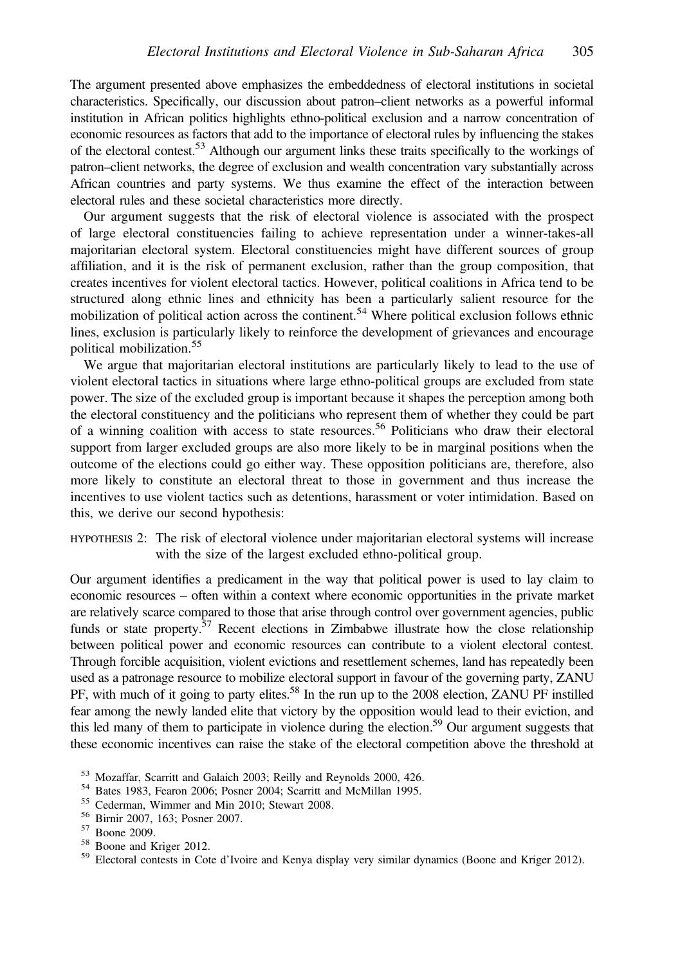The argument presented above emphasizes the embeddedness of electoral institutions in societal characteristics. Specifically, our discussion about patron–client networks as a powerful informal institution in African politics highlights ethno-political exclusion and a narrow concentration of economic resources as factors that add to the importance of electoral rules by influencing the stakes of the electoral contest.<sup>53</sup> Although our argument links these traits specifically to the workings of patron–client networks, the degree of exclusion and wealth concentration vary substantially across African countries and party systems. We thus examine the effect of the interaction between electoral rules and these societal characteristics more directly.

Our argument suggests that the risk of electoral violence is associated with the prospect of large electoral constituencies failing to achieve representation under a winner-takes-all majoritarian electoral system. Electoral constituencies might have different sources of group affiliation, and it is the risk of permanent exclusion, rather than the group composition, that creates incentives for violent electoral tactics. However, political coalitions in Africa tend to be structured along ethnic lines and ethnicity has been a particularly salient resource for the mobilization of political action across the continent.<sup>54</sup> Where political exclusion follows ethnic lines, exclusion is particularly likely to reinforce the development of grievances and encourage political mobilization.<sup>55</sup>

We argue that majoritarian electoral institutions are particularly likely to lead to the use of violent electoral tactics in situations where large ethno-political groups are excluded from state power. The size of the excluded group is important because it shapes the perception among both the electoral constituency and the politicians who represent them of whether they could be part of a winning coalition with access to state resources.<sup>56</sup> Politicians who draw their electoral support from larger excluded groups are also more likely to be in marginal positions when the outcome of the elections could go either way. These opposition politicians are, therefore, also more likely to constitute an electoral threat to those in government and thus increase the incentives to use violent tactics such as detentions, harassment or voter intimidation. Based on this, we derive our second hypothesis:

# HYPOTHESIS 2: The risk of electoral violence under majoritarian electoral systems will increase with the size of the largest excluded ethno-political group.

Our argument identifies a predicament in the way that political power is used to lay claim to economic resources – often within a context where economic opportunities in the private market are relatively scarce compared to those that arise through control over government agencies, public funds or state property.<sup>57</sup> Recent elections in Zimbabwe illustrate how the close relationship between political power and economic resources can contribute to a violent electoral contest. Through forcible acquisition, violent evictions and resettlement schemes, land has repeatedly been used as a patronage resource to mobilize electoral support in favour of the governing party, ZANU PF, with much of it going to party elites.<sup>58</sup> In the run up to the 2008 election, ZANU PF instilled fear among the newly landed elite that victory by the opposition would lead to their eviction, and this led many of them to participate in violence during the election.<sup>59</sup> Our argument suggests that these economic incentives can raise the stake of the electoral competition above the threshold at

- 
- 
- 
- 

<sup>&</sup>lt;sup>53</sup> Mozaffar, Scarritt and Galaich [2003](#page-22-0); Reilly and Reynolds [2000](#page-22-0), 426.<br>
<sup>54</sup> Bates [1983](#page-20-0), Fearon [2006;](#page-21-0) Posner [2004](#page-22-0); Scarritt and McMillan [1995.](#page-23-0)<br>
<sup>55</sup> Cederman, Wimmer and Min [2010;](#page-21-0) Stewart [2008](#page-23-0).<br>
<sup>56</sup> Birnir [2007,](#page-20-0) 163; P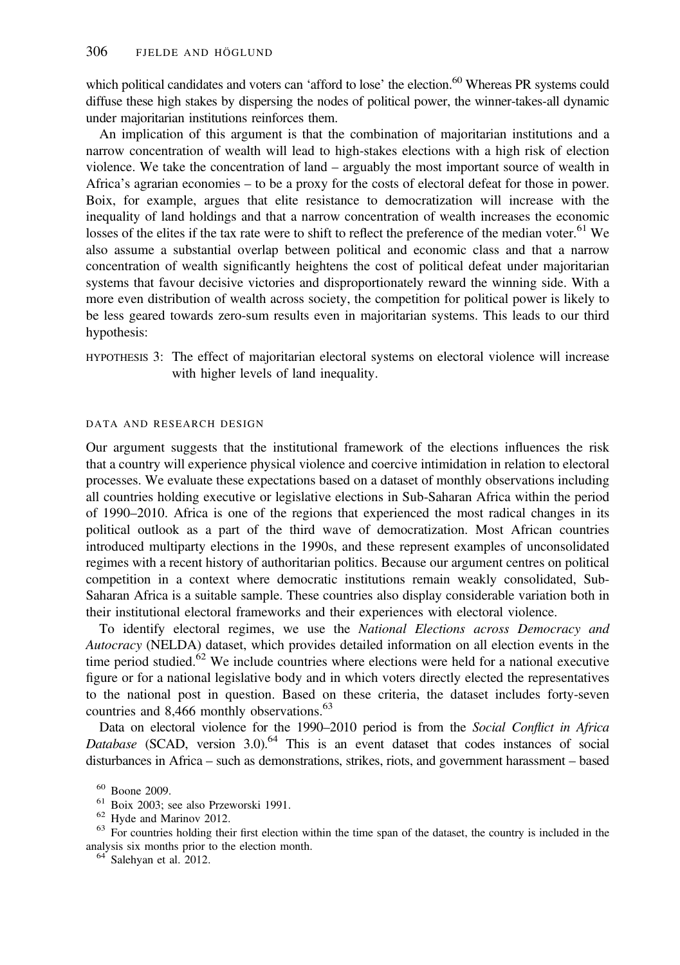which political candidates and voters can 'afford to lose' the election.<sup>60</sup> Whereas PR systems could diffuse these high stakes by dispersing the nodes of political power, the winner-takes-all dynamic under majoritarian institutions reinforces them.

An implication of this argument is that the combination of majoritarian institutions and a narrow concentration of wealth will lead to high-stakes elections with a high risk of election violence. We take the concentration of land – arguably the most important source of wealth in Africa's agrarian economies – to be a proxy for the costs of electoral defeat for those in power. Boix, for example, argues that elite resistance to democratization will increase with the inequality of land holdings and that a narrow concentration of wealth increases the economic losses of the elites if the tax rate were to shift to reflect the preference of the median voter.<sup>61</sup> We also assume a substantial overlap between political and economic class and that a narrow concentration of wealth significantly heightens the cost of political defeat under majoritarian systems that favour decisive victories and disproportionately reward the winning side. With a more even distribution of wealth across society, the competition for political power is likely to be less geared towards zero-sum results even in majoritarian systems. This leads to our third hypothesis:

HYPOTHESIS 3: The effect of majoritarian electoral systems on electoral violence will increase with higher levels of land inequality.

# DATA AND RESEARCH DESIGN

Our argument suggests that the institutional framework of the elections influences the risk that a country will experience physical violence and coercive intimidation in relation to electoral processes. We evaluate these expectations based on a dataset of monthly observations including all countries holding executive or legislative elections in Sub-Saharan Africa within the period of 1990–2010. Africa is one of the regions that experienced the most radical changes in its political outlook as a part of the third wave of democratization. Most African countries introduced multiparty elections in the 1990s, and these represent examples of unconsolidated regimes with a recent history of authoritarian politics. Because our argument centres on political competition in a context where democratic institutions remain weakly consolidated, Sub-Saharan Africa is a suitable sample. These countries also display considerable variation both in their institutional electoral frameworks and their experiences with electoral violence.

To identify electoral regimes, we use the National Elections across Democracy and Autocracy (NELDA) dataset, which provides detailed information on all election events in the time period studied. $62$  We include countries where elections were held for a national executive figure or for a national legislative body and in which voters directly elected the representatives to the national post in question. Based on these criteria, the dataset includes forty-seven countries and 8,466 monthly observations. $63$ 

Data on electoral violence for the 1990–2010 period is from the Social Conflict in Africa Database (SCAD, version 3.0).<sup>64</sup> This is an event dataset that codes instances of social disturbances in Africa – such as demonstrations, strikes, riots, and government harassment – based

<sup>60</sup> Boone [2009](#page-20-0).<br><sup>61</sup> Boix [2003;](#page-20-0) see also Przeworski [1991](#page-22-0).<br><sup>62</sup> Hyde and Marinov [2012](#page-21-0).<br><sup>63</sup> For countries holding their first election within the time span of the dataset, the country is included in the analysis six months prior to the election month. <sup>64</sup> Salehyan et al. [2012.](#page-23-0)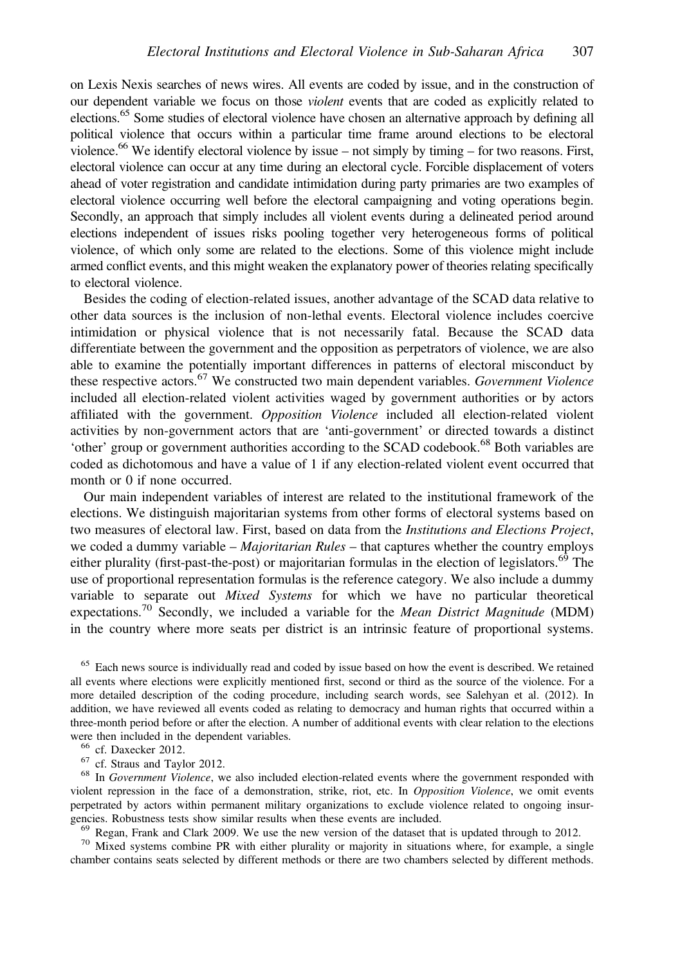on Lexis Nexis searches of news wires. All events are coded by issue, and in the construction of our dependent variable we focus on those violent events that are coded as explicitly related to elections.<sup>65</sup> Some studies of electoral violence have chosen an alternative approach by defining all political violence that occurs within a particular time frame around elections to be electoral violence.<sup>66</sup> We identify electoral violence by issue – not simply by timing – for two reasons. First, electoral violence can occur at any time during an electoral cycle. Forcible displacement of voters ahead of voter registration and candidate intimidation during party primaries are two examples of electoral violence occurring well before the electoral campaigning and voting operations begin. Secondly, an approach that simply includes all violent events during a delineated period around elections independent of issues risks pooling together very heterogeneous forms of political violence, of which only some are related to the elections. Some of this violence might include armed conflict events, and this might weaken the explanatory power of theories relating specifically to electoral violence.

Besides the coding of election-related issues, another advantage of the SCAD data relative to other data sources is the inclusion of non-lethal events. Electoral violence includes coercive intimidation or physical violence that is not necessarily fatal. Because the SCAD data differentiate between the government and the opposition as perpetrators of violence, we are also able to examine the potentially important differences in patterns of electoral misconduct by these respective actors.<sup>67</sup> We constructed two main dependent variables. Government Violence included all election-related violent activities waged by government authorities or by actors affiliated with the government. Opposition Violence included all election-related violent activities by non-government actors that are 'anti-government' or directed towards a distinct 'other' group or government authorities according to the SCAD codebook.<sup>68</sup> Both variables are coded as dichotomous and have a value of 1 if any election-related violent event occurred that month or 0 if none occurred.

Our main independent variables of interest are related to the institutional framework of the elections. We distinguish majoritarian systems from other forms of electoral systems based on two measures of electoral law. First, based on data from the *Institutions and Elections Project*, we coded a dummy variable – *Majoritarian Rules* – that captures whether the country employs either plurality (first-past-the-post) or majoritarian formulas in the election of legislators.<sup>69</sup> The use of proportional representation formulas is the reference category. We also include a dummy variable to separate out Mixed Systems for which we have no particular theoretical expectations.<sup>70</sup> Secondly, we included a variable for the *Mean District Magnitude* (MDM) in the country where more seats per district is an intrinsic feature of proportional systems.

<sup>65</sup> Each news source is individually read and coded by issue based on how the event is described. We retained all events where elections were explicitly mentioned first, second or third as the source of the violence. For a more detailed description of the coding procedure, including search words, see Salehyan et al. [\(2012](#page-23-0)). In addition, we have reviewed all events coded as relating to democracy and human rights that occurred within a three-month period before or after the election. A number of additional events with clear relation to the elections

were then included in the dependent variables.<br>
<sup>66</sup> cf. Daxecker [2012](#page-23-0).<br>
<sup>67</sup> cf. Straus and Taylor 2012.<br>
<sup>68</sup> In *Government Violence*, we also included election-related events where the government responded with violent repression in the face of a demonstration, strike, riot, etc. In Opposition Violence, we omit events perpetrated by actors within permanent military organizations to exclude violence related to ongoing insurgencies. Robustness tests show similar results when these events are included.

 $^{69}$  Regan, Frank and Clark [2009](#page-22-0). We use the new version of the dataset that is updated through to 2012.<br><sup>70</sup> Mixed systems combine PR with either plurality or majority in situations where, for example, a single chamber contains seats selected by different methods or there are two chambers selected by different methods.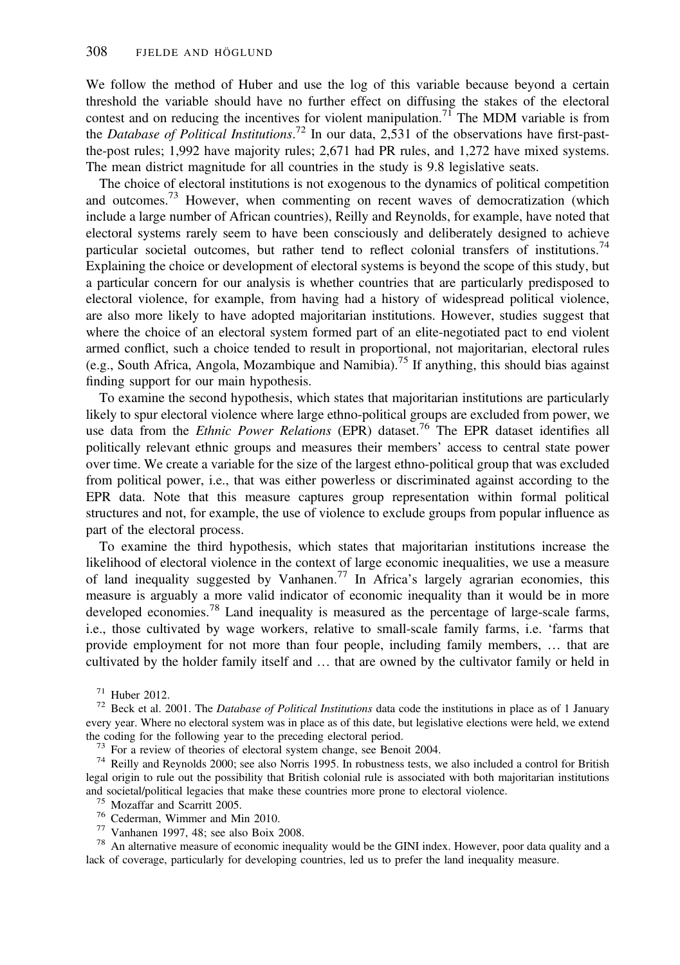We follow the method of Huber and use the log of this variable because beyond a certain threshold the variable should have no further effect on diffusing the stakes of the electoral contest and on reducing the incentives for violent manipulation.<sup>71</sup> The MDM variable is from the *Database of Political Institutions*.<sup>72</sup> In our data, 2,531 of the observations have first-pastthe-post rules; 1,992 have majority rules; 2,671 had PR rules, and 1,272 have mixed systems. The mean district magnitude for all countries in the study is 9.8 legislative seats.

The choice of electoral institutions is not exogenous to the dynamics of political competition and outcomes.<sup>73</sup> However, when commenting on recent waves of democratization (which include a large number of African countries), Reilly and Reynolds, for example, have noted that electoral systems rarely seem to have been consciously and deliberately designed to achieve particular societal outcomes, but rather tend to reflect colonial transfers of institutions.<sup>74</sup> Explaining the choice or development of electoral systems is beyond the scope of this study, but a particular concern for our analysis is whether countries that are particularly predisposed to electoral violence, for example, from having had a history of widespread political violence, are also more likely to have adopted majoritarian institutions. However, studies suggest that where the choice of an electoral system formed part of an elite-negotiated pact to end violent armed conflict, such a choice tended to result in proportional, not majoritarian, electoral rules (e.g., South Africa, Angola, Mozambique and Namibia).<sup>75</sup> If anything, this should bias against finding support for our main hypothesis.

To examine the second hypothesis, which states that majoritarian institutions are particularly likely to spur electoral violence where large ethno-political groups are excluded from power, we use data from the *Ethnic Power Relations* (EPR) dataset.<sup>76</sup> The EPR dataset identifies all politically relevant ethnic groups and measures their members' access to central state power over time. We create a variable for the size of the largest ethno-political group that was excluded from political power, i.e., that was either powerless or discriminated against according to the EPR data. Note that this measure captures group representation within formal political structures and not, for example, the use of violence to exclude groups from popular influence as part of the electoral process.

To examine the third hypothesis, which states that majoritarian institutions increase the likelihood of electoral violence in the context of large economic inequalities, we use a measure of land inequality suggested by Vanhanen.<sup>77</sup> In Africa's largely agrarian economies, this measure is arguably a more valid indicator of economic inequality than it would be in more developed economies.<sup>78</sup> Land inequality is measured as the percentage of large-scale farms, i.e., those cultivated by wage workers, relative to small-scale family farms, i.e. 'farms that provide employment for not more than four people, including family members, … that are cultivated by the holder family itself and … that are owned by the cultivator family or held in

<sup>71</sup> Huber [2012](#page-21-0).<br><sup>72</sup> Beck et al. [2001.](#page-20-0) The *Database of Political Institutions* data code the institutions in place as of 1 January every year. Where no electoral system was in place as of this date, but legislative elections were held, we extend

the coding for the following year to the preceding electoral period.<br><sup>73</sup> For a review of theories of electoral system change, see Benoit [2004.](#page-20-0)<br><sup>74</sup> Reilly and Reynolds [2000](#page-22-0); see also Norris [1995.](#page-22-0) In robustness tests, we legal origin to rule out the possibility that British colonial rule is associated with both majoritarian institutions and societal/political legacies that make these countries more prone to electoral violence.

- 
- 
- 

<sup>75</sup> Mozaffar and Scarritt [2005.](#page-22-0)<br><sup>76</sup> Cederman, Wimmer and Min [2010](#page-21-0).<br><sup>77</sup> Vanhanen [1997](#page-23-0), 48; see also Boix [2008.](#page-20-0)<br><sup>78</sup> An alternative measure of economic inequality would be the GINI index. However, poor data quality and a lack of coverage, particularly for developing countries, led us to prefer the land inequality measure.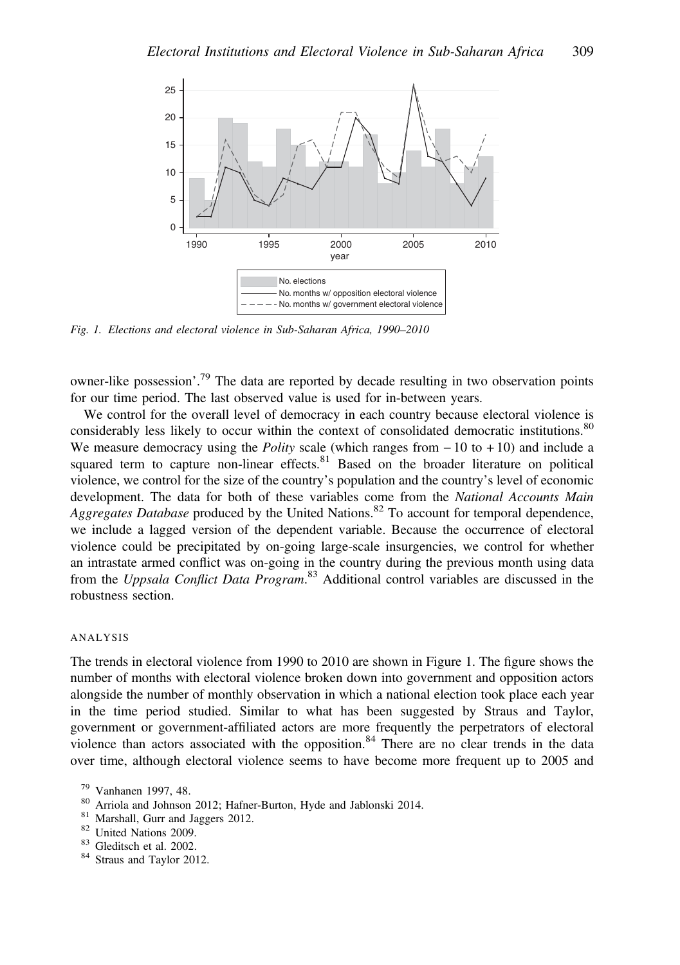

Fig. 1. Elections and electoral violence in Sub-Saharan Africa, 1990–2010

owner-like possession'.<sup>79</sup> The data are reported by decade resulting in two observation points for our time period. The last observed value is used for in-between years.

We control for the overall level of democracy in each country because electoral violence is considerably less likely to occur within the context of consolidated democratic institutions.<sup>80</sup> We measure democracy using the *Polity* scale (which ranges from  $-10$  to  $+10$ ) and include a squared term to capture non-linear effects.<sup>81</sup> Based on the broader literature on political violence, we control for the size of the country's population and the country's level of economic development. The data for both of these variables come from the National Accounts Main Aggregates Database produced by the United Nations.<sup>82</sup> To account for temporal dependence, we include a lagged version of the dependent variable. Because the occurrence of electoral violence could be precipitated by on-going large-scale insurgencies, we control for whether an intrastate armed conflict was on-going in the country during the previous month using data from the Uppsala Conflict Data Program.<sup>83</sup> Additional control variables are discussed in the robustness section.

## ANALYSIS

The trends in electoral violence from 1990 to 2010 are shown in Figure 1. The figure shows the number of months with electoral violence broken down into government and opposition actors alongside the number of monthly observation in which a national election took place each year in the time period studied. Similar to what has been suggested by Straus and Taylor, government or government-affiliated actors are more frequently the perpetrators of electoral violence than actors associated with the opposition.<sup>84</sup> There are no clear trends in the data over time, although electoral violence seems to have become more frequent up to 2005 and

<sup>&</sup>lt;sup>79</sup> Vanhanen [1997](#page-23-0), 48.<br><sup>80</sup> Arriola and Johnson [2012;](#page-20-0) Hafner-Burton, Hyde and Jablonski [2014.](#page-21-0)<br><sup>81</sup> Marshall, Gurr and Jaggers [2012](#page-22-0).<br><sup>82</sup> United Nations [2009.](#page-23-0)<br><sup>83</sup> Gleditsch et al. [2002.](#page-21-0)<br><sup>84</sup> Straus and Taylor [2012.](#page-23-0)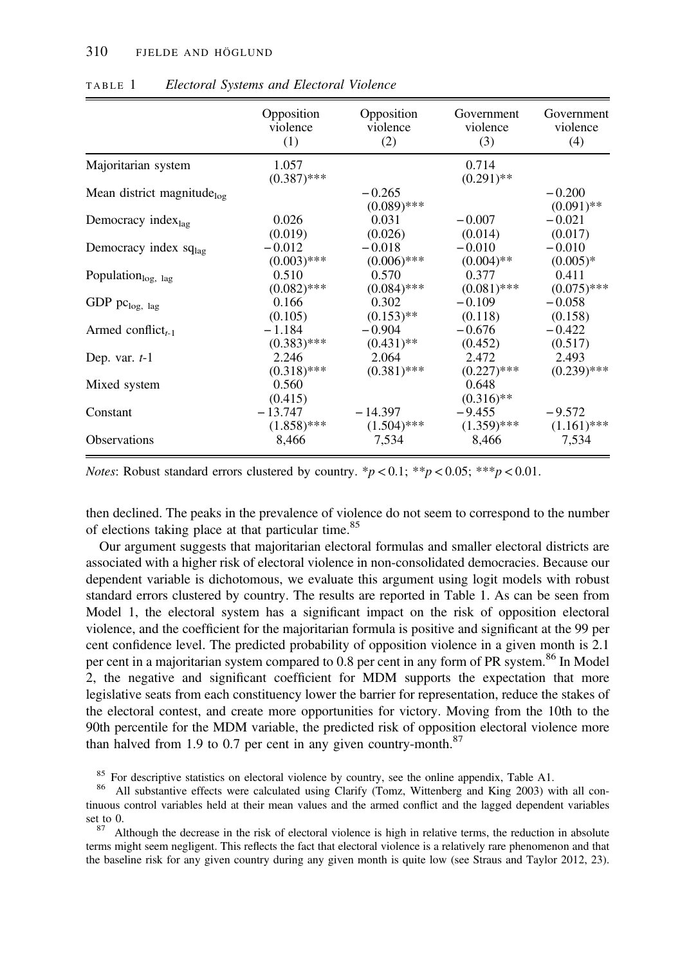|                                            | Opposition             | Opposition                | Government            | Government               |
|--------------------------------------------|------------------------|---------------------------|-----------------------|--------------------------|
|                                            | violence               | violence                  | violence              | violence                 |
|                                            | (1)                    | (2)                       | (3)                   | (4)                      |
| Majoritarian system                        | 1.057<br>$(0.387)$ *** |                           | 0.714<br>$(0.291)$ ** |                          |
| Mean district magnitude $_{\text{log}}$    |                        | $-0.265$<br>$(0.089)$ *** |                       | $-0.200$<br>$(0.091)$ ** |
| Democracy index $_{1a}$                    | 0.026                  | 0.031                     | $-0.007$              | $-0.021$                 |
|                                            | (0.019)                | (0.026)                   | (0.014)               | (0.017)                  |
| Democracy index sqlag                      | $-0.012$               | $-0.018$                  | $-0.010$              | $-0.010$                 |
|                                            | $(0.003)$ ***          | $(0.006)$ ***             | $(0.004)$ **          | $(0.005)*$               |
| Population <sub>log, lag</sub>             | 0.510                  | 0.570                     | 0.377                 | 0.411                    |
|                                            | $(0.082)$ ***          | $(0.084)$ ***             | $(0.081)$ ***         | $(0.075)$ ***            |
| GDP pclog, lag                             | 0.166                  | 0.302                     | $-0.109$              | $-0.058$                 |
|                                            | (0.105)                | $(0.153)$ **              | (0.118)               | (0.158)                  |
| Armed conflict <sub><math>t-1</math></sub> | $-1.184$               | $-0.904$                  | $-0.676$              | $-0.422$                 |
|                                            | $(0.383)$ ***          | $(0.431)$ **              | (0.452)               | (0.517)                  |
| Dep. var. $t-1$                            | 2.246                  | 2.064                     | 2.472                 | 2.493                    |
|                                            | $(0.318)$ ***          | $(0.381)$ ***             | $(0.227)$ ***         | $(0.239)$ ***            |
| Mixed system                               | 0.560<br>(0.415)       |                           | 0.648<br>$(0.316)$ ** |                          |
| Constant                                   | $-13.747$              | $-14.397$                 | $-9.455$              | $-9.572$                 |
|                                            | $(1.858)$ ***          | $(1.504)$ ***             | $(1.359)$ ***         | $(1.161)$ ***            |
| Observations                               | 8,466                  | 7,534                     | 8,466                 | 7,534                    |

<span id="page-13-0"></span>TABLE 1 Electoral Systems and Electoral Violence

*Notes:* Robust standard errors clustered by country.  $\frac{*p}{<}0.1$ ;  $\frac{*p}{<}0.05$ ;  $\frac{***p}{<}0.01$ .

then declined. The peaks in the prevalence of violence do not seem to correspond to the number of elections taking place at that particular time.<sup>85</sup>

Our argument suggests that majoritarian electoral formulas and smaller electoral districts are associated with a higher risk of electoral violence in non-consolidated democracies. Because our dependent variable is dichotomous, we evaluate this argument using logit models with robust standard errors clustered by country. The results are reported in Table 1. As can be seen from Model 1, the electoral system has a significant impact on the risk of opposition electoral violence, and the coefficient for the majoritarian formula is positive and significant at the 99 per cent confidence level. The predicted probability of opposition violence in a given month is 2.1 per cent in a majoritarian system compared to 0.8 per cent in any form of PR system.<sup>86</sup> In Model 2, the negative and significant coefficient for MDM supports the expectation that more legislative seats from each constituency lower the barrier for representation, reduce the stakes of the electoral contest, and create more opportunities for victory. Moving from the 10th to the 90th percentile for the MDM variable, the predicted risk of opposition electoral violence more than halved from 1.9 to 0.7 per cent in any given country-month. $87$ 

terms might seem negligent. This reflects the fact that electoral violence is a relatively rare phenomenon and that the baseline risk for any given country during any given month is quite low (see Straus and Taylor [2012,](#page-23-0) 23).

<sup>&</sup>lt;sup>85</sup> For descriptive statistics on electoral violence by country, see the online appendix, Table A1.<br><sup>86</sup> All substantive effects were calculated using Clarify (Tomz, Wittenberg and King [2003](#page-23-0)) with all continuous control variables held at their mean values and the armed conflict and the lagged dependent variables set to 0.  $87$  Although the decrease in the risk of electoral violence is high in relative terms, the reduction in absolute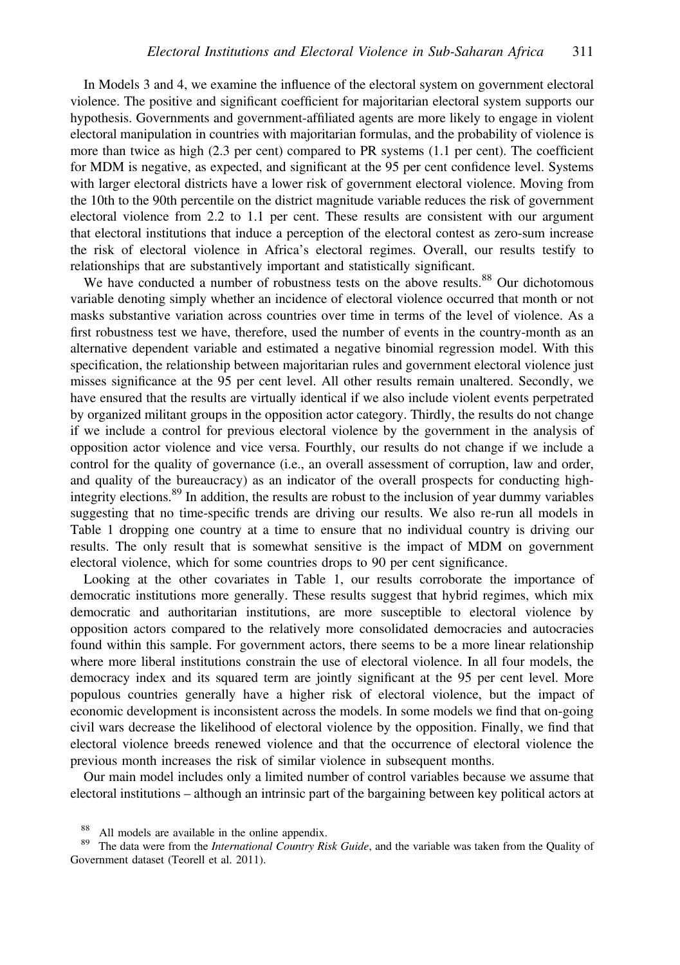In Models 3 and 4, we examine the influence of the electoral system on government electoral violence. The positive and significant coefficient for majoritarian electoral system supports our hypothesis. Governments and government-affiliated agents are more likely to engage in violent electoral manipulation in countries with majoritarian formulas, and the probability of violence is more than twice as high (2.3 per cent) compared to PR systems (1.1 per cent). The coefficient for MDM is negative, as expected, and significant at the 95 per cent confidence level. Systems with larger electoral districts have a lower risk of government electoral violence. Moving from the 10th to the 90th percentile on the district magnitude variable reduces the risk of government electoral violence from 2.2 to 1.1 per cent. These results are consistent with our argument that electoral institutions that induce a perception of the electoral contest as zero-sum increase the risk of electoral violence in Africa's electoral regimes. Overall, our results testify to relationships that are substantively important and statistically significant.

We have conducted a number of robustness tests on the above results.<sup>88</sup> Our dichotomous variable denoting simply whether an incidence of electoral violence occurred that month or not masks substantive variation across countries over time in terms of the level of violence. As a first robustness test we have, therefore, used the number of events in the country-month as an alternative dependent variable and estimated a negative binomial regression model. With this specification, the relationship between majoritarian rules and government electoral violence just misses significance at the 95 per cent level. All other results remain unaltered. Secondly, we have ensured that the results are virtually identical if we also include violent events perpetrated by organized militant groups in the opposition actor category. Thirdly, the results do not change if we include a control for previous electoral violence by the government in the analysis of opposition actor violence and vice versa. Fourthly, our results do not change if we include a control for the quality of governance (i.e., an overall assessment of corruption, law and order, and quality of the bureaucracy) as an indicator of the overall prospects for conducting highintegrity elections.<sup>89</sup> In addition, the results are robust to the inclusion of year dummy variables suggesting that no time-specific trends are driving our results. We also re-run all models in [Table 1](#page-13-0) dropping one country at a time to ensure that no individual country is driving our results. The only result that is somewhat sensitive is the impact of MDM on government electoral violence, which for some countries drops to 90 per cent significance.

Looking at the other covariates in [Table 1,](#page-13-0) our results corroborate the importance of democratic institutions more generally. These results suggest that hybrid regimes, which mix democratic and authoritarian institutions, are more susceptible to electoral violence by opposition actors compared to the relatively more consolidated democracies and autocracies found within this sample. For government actors, there seems to be a more linear relationship where more liberal institutions constrain the use of electoral violence. In all four models, the democracy index and its squared term are jointly significant at the 95 per cent level. More populous countries generally have a higher risk of electoral violence, but the impact of economic development is inconsistent across the models. In some models we find that on-going civil wars decrease the likelihood of electoral violence by the opposition. Finally, we find that electoral violence breeds renewed violence and that the occurrence of electoral violence the previous month increases the risk of similar violence in subsequent months.

Our main model includes only a limited number of control variables because we assume that electoral institutions – although an intrinsic part of the bargaining between key political actors at

<sup>&</sup>lt;sup>88</sup> All models are available in the online appendix.<br><sup>89</sup> The data were from the *International Country Risk Guide*, and the variable was taken from the Quality of Government dataset (Teorell et al. [2011](#page-23-0)).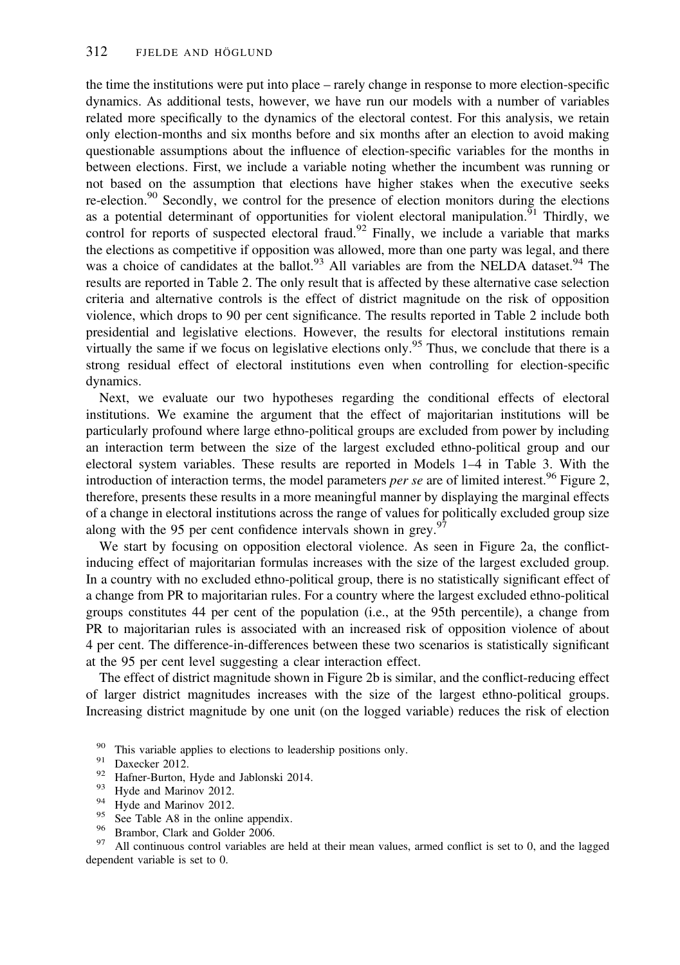the time the institutions were put into place – rarely change in response to more election-specific dynamics. As additional tests, however, we have run our models with a number of variables related more specifically to the dynamics of the electoral contest. For this analysis, we retain only election-months and six months before and six months after an election to avoid making questionable assumptions about the influence of election-specific variables for the months in between elections. First, we include a variable noting whether the incumbent was running or not based on the assumption that elections have higher stakes when the executive seeks re-election.<sup>90</sup> Secondly, we control for the presence of election monitors during the elections as a potential determinant of opportunities for violent electoral manipulation.<sup>91</sup> Thirdly, we control for reports of suspected electoral fraud.<sup>92</sup> Finally, we include a variable that marks the elections as competitive if opposition was allowed, more than one party was legal, and there was a choice of candidates at the ballot.<sup>93</sup> All variables are from the NELDA dataset.<sup>94</sup> The results are reported in [Table 2.](#page-16-0) The only result that is affected by these alternative case selection criteria and alternative controls is the effect of district magnitude on the risk of opposition violence, which drops to 90 per cent significance. The results reported in [Table 2](#page-16-0) include both presidential and legislative elections. However, the results for electoral institutions remain virtually the same if we focus on legislative elections only.<sup>95</sup> Thus, we conclude that there is a strong residual effect of electoral institutions even when controlling for election-specific dynamics.

Next, we evaluate our two hypotheses regarding the conditional effects of electoral institutions. We examine the argument that the effect of majoritarian institutions will be particularly profound where large ethno-political groups are excluded from power by including an interaction term between the size of the largest excluded ethno-political group and our electoral system variables. These results are reported in Models 1–4 in [Table 3.](#page-17-0) With the introduction of interaction terms, the model parameters *per se* are of limited interest.<sup>96</sup> [Figure 2,](#page-18-0) therefore, presents these results in a more meaningful manner by displaying the marginal effects of a change in electoral institutions across the range of values for politically excluded group size along with the 95 per cent confidence intervals shown in grey. $97$ 

We start by focusing on opposition electoral violence. As seen in [Figure 2a,](#page-18-0) the conflictinducing effect of majoritarian formulas increases with the size of the largest excluded group. In a country with no excluded ethno-political group, there is no statistically significant effect of a change from PR to majoritarian rules. For a country where the largest excluded ethno-political groups constitutes 44 per cent of the population (i.e., at the 95th percentile), a change from PR to majoritarian rules is associated with an increased risk of opposition violence of about 4 per cent. The difference-in-differences between these two scenarios is statistically significant at the 95 per cent level suggesting a clear interaction effect.

The effect of district magnitude shown in [Figure 2b](#page-18-0) is similar, and the conflict-reducing effect of larger district magnitudes increases with the size of the largest ethno-political groups. Increasing district magnitude by one unit (on the logged variable) reduces the risk of election

- 
- 
- 
- 
- 
- 
- 

<sup>90</sup> This variable applies to elections to leadership positions only.<br>
<sup>91</sup> Daxecker [2012](#page-21-0).<br>
<sup>92</sup> Hafner-Burton, Hyde and Jablonski [2014](#page-21-0).<br>
<sup>93</sup> Hyde and Marinov 2012.<br>
<sup>94</sup> Hyde and Marinov 2012.<br>
<sup>95</sup> See Table A8 in the dependent variable is set to 0.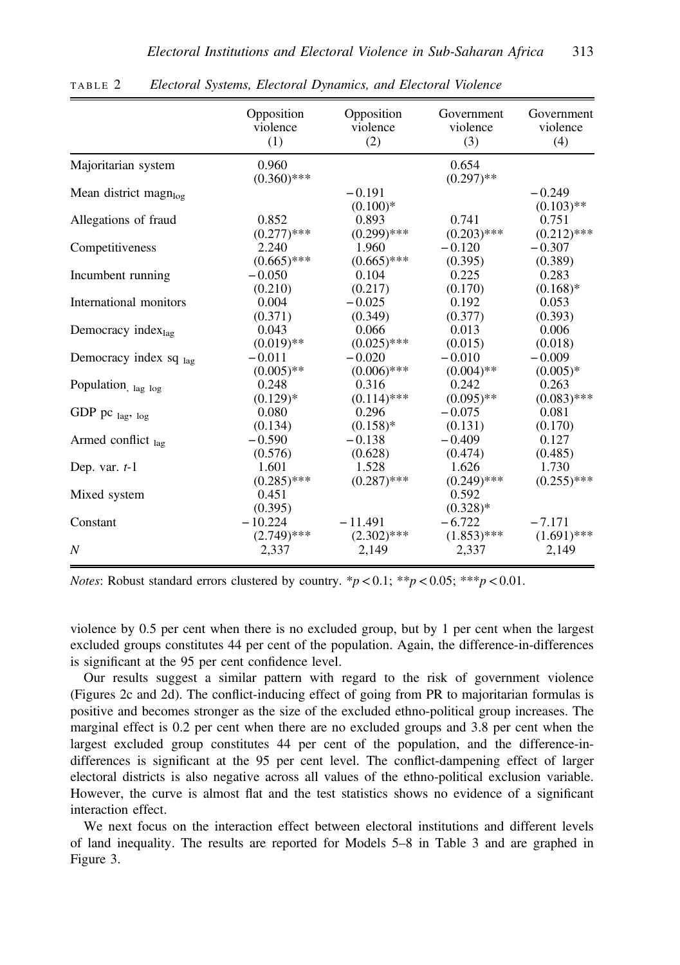|                                   | Opposition             | Opposition             | Government            | Government               |
|-----------------------------------|------------------------|------------------------|-----------------------|--------------------------|
|                                   | violence               | violence               | violence              | violence                 |
|                                   | (1)                    | (2)                    | (3)                   | (4)                      |
| Majoritarian system               | 0.960<br>$(0.360)$ *** |                        | 0.654<br>$(0.297)$ ** |                          |
| Mean district magn <sub>log</sub> |                        | $-0.191$<br>$(0.100)*$ |                       | $-0.249$<br>$(0.103)$ ** |
| Allegations of fraud              | 0.852                  | 0.893                  | 0.741                 | 0.751                    |
|                                   | $(0.277)$ ***          | $(0.299)$ ***          | $(0.203)$ ***         | $(0.212)$ ***            |
| Competitiveness                   | 2.240                  | 1.960                  | $-0.120$              | $-0.307$                 |
|                                   | $(0.665)$ ***          | $(0.665)$ ***          | (0.395)               | (0.389)                  |
| Incumbent running                 | $-0.050$               | 0.104                  | 0.225                 | 0.283                    |
|                                   | (0.210)                | (0.217)                | (0.170)               | $(0.168)$ *              |
| International monitors            | 0.004                  | $-0.025$               | 0.192                 | 0.053                    |
|                                   | (0.371)                | (0.349)                | (0.377)               | (0.393)                  |
| Democracy index $_{\text{lag}}$   | 0.043                  | 0.066                  | 0.013                 | 0.006                    |
|                                   | $(0.019)$ **           | $(0.025)$ ***          | (0.015)               | (0.018)                  |
| Democracy index sq lag            | $-0.011$               | $-0.020$               | $-0.010$              | $-0.009$                 |
|                                   | $(0.005)$ **           | $(0.006)$ ***          | $(0.004)$ **          | $(0.005)*$               |
| Population, lag log               | 0.248                  | 0.316                  | 0.242                 | 0.263                    |
|                                   | $(0.129)$ *            | $(0.114)$ ***          | $(0.095)$ **          | $(0.083)$ ***            |
| GDP pc lag, log                   | 0.080                  | 0.296                  | $-0.075$              | 0.081                    |
|                                   | (0.134)                | $(0.158)$ *            | (0.131)               | (0.170)                  |
| Armed conflict $_{lag}$           | $-0.590$               | $-0.138$               | $-0.409$              | 0.127                    |
|                                   | (0.576)                | (0.628)                | (0.474)               | (0.485)                  |
| Dep. var. $t-1$                   | 1.601                  | 1.528                  | 1.626                 | 1.730                    |
|                                   | $(0.285)$ ***          | $(0.287)$ ***          | $(0.249)$ ***         | $(0.255)$ ***            |
| Mixed system                      | 0.451<br>(0.395)       |                        | 0.592<br>$(0.328)$ *  |                          |
| Constant                          | $-10.224$              | $-11.491$              | $-6.722$              | $-7.171$                 |
|                                   | $(2.749)$ ***          | $(2.302)$ ***          | $(1.853)$ ***         | $(1.691)$ ***            |
| $\boldsymbol{N}$                  | 2,337                  | 2,149                  | 2,337                 | 2,149                    |

<span id="page-16-0"></span>TABLE 2 Electoral Systems, Electoral Dynamics, and Electoral Violence

*Notes*: Robust standard errors clustered by country. \* $p < 0.1$ ; \*\* $p < 0.05$ ; \*\*\* $p < 0.01$ .

violence by 0.5 per cent when there is no excluded group, but by 1 per cent when the largest excluded groups constitutes 44 per cent of the population. Again, the difference-in-differences is significant at the 95 per cent confidence level.

Our results suggest a similar pattern with regard to the risk of government violence [\(Figures 2c](#page-18-0) and [2d](#page-18-0)). The conflict-inducing effect of going from PR to majoritarian formulas is positive and becomes stronger as the size of the excluded ethno-political group increases. The marginal effect is 0.2 per cent when there are no excluded groups and 3.8 per cent when the largest excluded group constitutes 44 per cent of the population, and the difference-indifferences is significant at the 95 per cent level. The conflict-dampening effect of larger electoral districts is also negative across all values of the ethno-political exclusion variable. However, the curve is almost flat and the test statistics shows no evidence of a significant interaction effect.

We next focus on the interaction effect between electoral institutions and different levels of land inequality. The results are reported for Models 5–8 in [Table 3](#page-17-0) and are graphed in [Figure 3](#page-19-0).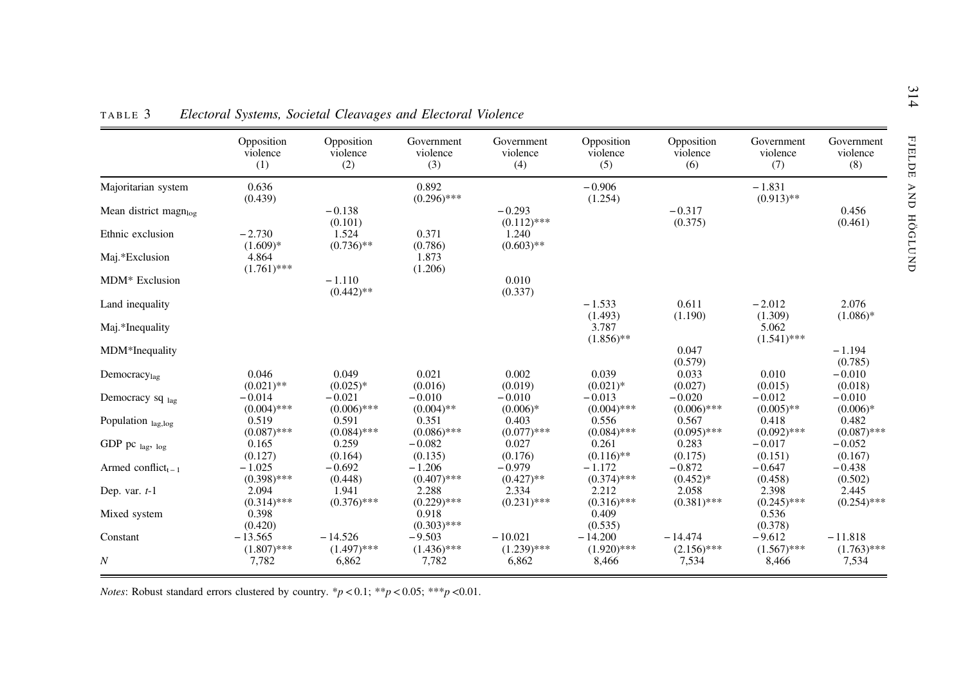|                                   | Opposition<br>violence<br>(1) | Opposition<br>violence<br>(2) | Government<br>violence<br>(3) | Government<br>violence<br>(4) | Opposition<br>violence<br>(5) | Opposition<br>violence<br>(6) | Government<br>violence<br>(7) | Government<br>violence<br>(8) |
|-----------------------------------|-------------------------------|-------------------------------|-------------------------------|-------------------------------|-------------------------------|-------------------------------|-------------------------------|-------------------------------|
| Majoritarian system               | 0.636<br>(0.439)              |                               | 0.892<br>$(0.296)$ ***        |                               | $-0.906$<br>(1.254)           |                               | $-1.831$<br>$(0.913)$ **      |                               |
| Mean district magn <sub>log</sub> |                               | $-0.138$<br>(0.101)           |                               | $-0.293$<br>$(0.112)$ ***     |                               | $-0.317$<br>(0.375)           |                               | 0.456<br>(0.461)              |
| Ethnic exclusion                  | $-2.730$<br>$(1.609)*$        | 1.524<br>$(0.736)$ **         | 0.371<br>(0.786)              | 1.240<br>$(0.603)$ **         |                               |                               |                               |                               |
| Maj.*Exclusion                    | 4.864<br>$(1.761)$ ***        |                               | 1.873<br>(1.206)              |                               |                               |                               |                               |                               |
| MDM* Exclusion                    |                               | $-1.110$<br>$(0.442)$ **      |                               | 0.010<br>(0.337)              |                               |                               |                               |                               |
| Land inequality                   |                               |                               |                               |                               | $-1.533$<br>(1.493)           | 0.611<br>(1.190)              | $-2.012$<br>(1.309)           | 2.076<br>$(1.086)*$           |
| Maj.*Inequality                   |                               |                               |                               |                               | 3.787<br>$(1.856)$ **         |                               | 5.062<br>$(1.541)$ ***        |                               |
| MDM*Inequality                    |                               |                               |                               |                               |                               | 0.047<br>(0.579)              |                               | $-1.194$<br>(0.785)           |
| Democracy <sub>lag</sub>          | 0.046<br>$(0.021)$ **         | 0.049<br>$(0.025)*$           | 0.021<br>(0.016)              | 0.002<br>(0.019)              | 0.039<br>$(0.021)$ *          | 0.033<br>(0.027)              | 0.010<br>(0.015)              | $-0.010$<br>(0.018)           |
| Democracy sq lag                  | $-0.014$<br>$(0.004)$ ***     | $-0.021$<br>$(0.006)$ ***     | $-0.010$<br>$(0.004)$ **      | $-0.010$<br>$(0.006)*$        | $-0.013$<br>$(0.004)$ ***     | $-0.020$<br>$(0.006)$ ***     | $-0.012$<br>$(0.005)$ **      | $-0.010$<br>$(0.006)*$        |
| Population lag, log               | 0.519<br>$(0.087)$ ***        | 0.591<br>$(0.084)$ ***        | 0.351<br>$(0.086)$ ***        | 0.403<br>$(0.077)$ ***        | 0.556<br>$(0.084)$ ***        | 0.567<br>$(0.095)$ ***        | 0.418<br>$(0.092)$ ***        | 0.482<br>$(0.087)$ ***        |
| GDP pc lag, log                   | 0.165<br>(0.127)              | 0.259<br>(0.164)              | $-0.082$<br>(0.135)           | 0.027<br>(0.176)              | 0.261<br>$(0.116)$ **         | 0.283<br>(0.175)              | $-0.017$<br>(0.151)           | $-0.052$<br>(0.167)           |
| Armed conflict <sub>t-1</sub>     | $-1.025$<br>$(0.398)$ ***     | $-0.692$<br>(0.448)           | $-1.206$<br>$(0.407)$ ***     | $-0.979$<br>$(0.427)$ **      | $-1.172$<br>$(0.374)$ ***     | $-0.872$<br>$(0.452)*$        | $-0.647$<br>(0.458)           | $-0.438$<br>(0.502)           |
| Dep. var. $t-1$                   | 2.094<br>$(0.314)$ ***        | 1.941<br>$(0.376)$ ***        | 2.288<br>$(0.229)$ ***        | 2.334<br>$(0.231)$ ***        | 2.212<br>$(0.316)$ ***        | 2.058<br>$(0.381)$ ***        | 2.398<br>$(0.245)$ ***        | 2.445<br>$(0.254)$ ***        |
| Mixed system                      | 0.398<br>(0.420)              |                               | 0.918<br>$(0.303)$ ***        |                               | 0.409<br>(0.535)              |                               | 0.536<br>(0.378)              |                               |
| Constant                          | $-13.565$<br>$(1.807)$ ***    | $-14.526$<br>$(1.497)$ ***    | $-9.503$<br>$(1.436)$ ***     | $-10.021$<br>$(1.239)$ ***    | $-14.200$<br>$(1.920)$ ***    | $-14.474$<br>$(2.156)$ ***    | $-9.612$<br>$(1.567)$ ***     | $-11.818$<br>$(1.763)$ ***    |
| N                                 | 7,782                         | 6,862                         | 7,782                         | 6,862                         | 8,466                         | 7,534                         | 8,466                         | 7,534                         |

<span id="page-17-0"></span>TABLE 3 3 Electoral Systems, Societal Cleavages and Electoral Violence

*Notes*: Robust standard errors clustered by country.  $\binom{*}{p} < 0.1$ ;  $\binom{**}{p} < 0.05$ ;  $\binom{**}{p} < 0.01$ .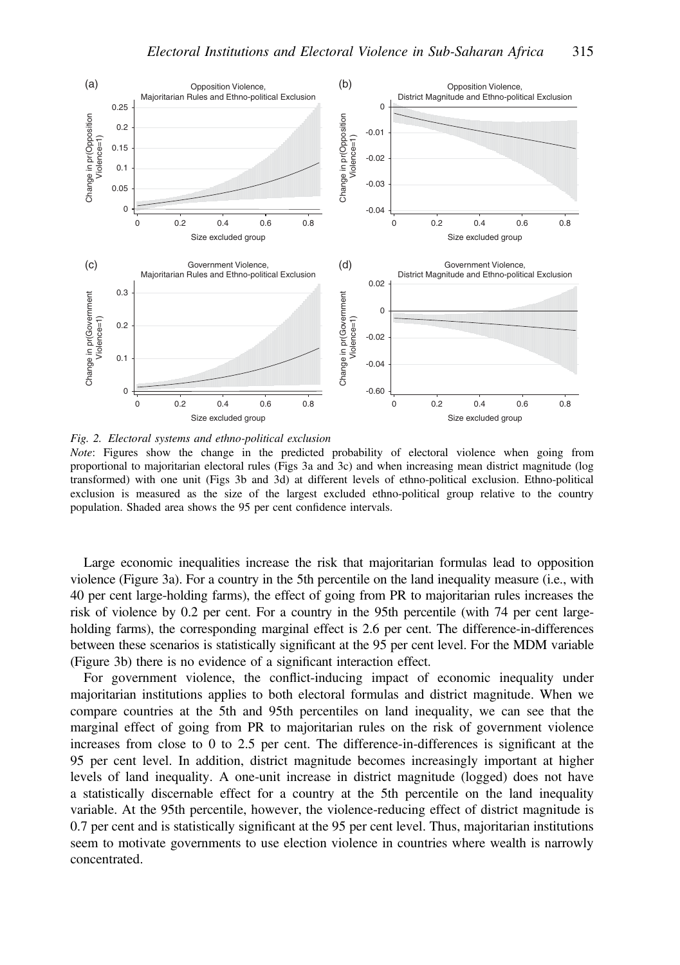<span id="page-18-0"></span>

Fig. 2. Electoral systems and ethno-political exclusion

Note: Figures show the change in the predicted probability of electoral violence when going from proportional to majoritarian electoral rules ([Figs 3](#page-19-0)a and [3](#page-19-0)c) and when increasing mean district magnitude (log transformed) with one unit [\(Figs 3b](#page-19-0) and [3d](#page-19-0)) at different levels of ethno-political exclusion. Ethno-political exclusion is measured as the size of the largest excluded ethno-political group relative to the country population. Shaded area shows the 95 per cent confidence intervals.

Large economic inequalities increase the risk that majoritarian formulas lead to opposition violence ([Figure 3a\)](#page-19-0). For a country in the 5th percentile on the land inequality measure (i.e., with 40 per cent large-holding farms), the effect of going from PR to majoritarian rules increases the risk of violence by 0.2 per cent. For a country in the 95th percentile (with 74 per cent largeholding farms), the corresponding marginal effect is 2.6 per cent. The difference-in-differences between these scenarios is statistically significant at the 95 per cent level. For the MDM variable [\(Figure 3b](#page-19-0)) there is no evidence of a significant interaction effect.

For government violence, the conflict-inducing impact of economic inequality under majoritarian institutions applies to both electoral formulas and district magnitude. When we compare countries at the 5th and 95th percentiles on land inequality, we can see that the marginal effect of going from PR to majoritarian rules on the risk of government violence increases from close to 0 to 2.5 per cent. The difference-in-differences is significant at the 95 per cent level. In addition, district magnitude becomes increasingly important at higher levels of land inequality. A one-unit increase in district magnitude (logged) does not have a statistically discernable effect for a country at the 5th percentile on the land inequality variable. At the 95th percentile, however, the violence-reducing effect of district magnitude is 0.7 per cent and is statistically significant at the 95 per cent level. Thus, majoritarian institutions seem to motivate governments to use election violence in countries where wealth is narrowly concentrated.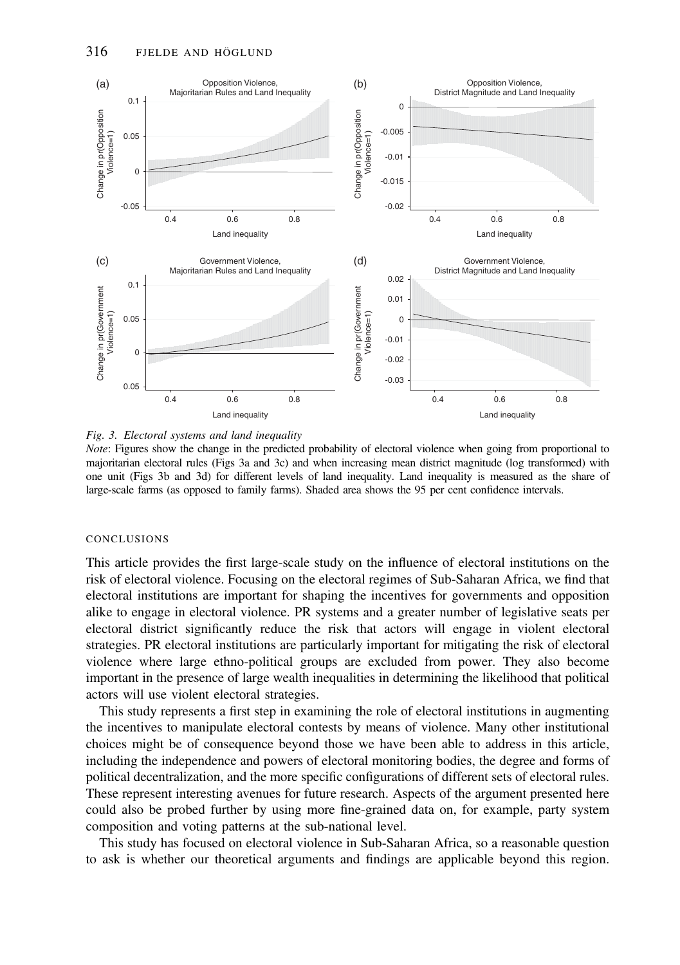<span id="page-19-0"></span>

Fig. 3. Electoral systems and land inequality

Note: Figures show the change in the predicted probability of electoral violence when going from proportional to majoritarian electoral rules (Figs 3a and 3c) and when increasing mean district magnitude (log transformed) with one unit (Figs 3b and 3d) for different levels of land inequality. Land inequality is measured as the share of large-scale farms (as opposed to family farms). Shaded area shows the 95 per cent confidence intervals.

#### **CONCLUSIONS**

This article provides the first large-scale study on the influence of electoral institutions on the risk of electoral violence. Focusing on the electoral regimes of Sub-Saharan Africa, we find that electoral institutions are important for shaping the incentives for governments and opposition alike to engage in electoral violence. PR systems and a greater number of legislative seats per electoral district significantly reduce the risk that actors will engage in violent electoral strategies. PR electoral institutions are particularly important for mitigating the risk of electoral violence where large ethno-political groups are excluded from power. They also become important in the presence of large wealth inequalities in determining the likelihood that political actors will use violent electoral strategies.

This study represents a first step in examining the role of electoral institutions in augmenting the incentives to manipulate electoral contests by means of violence. Many other institutional choices might be of consequence beyond those we have been able to address in this article, including the independence and powers of electoral monitoring bodies, the degree and forms of political decentralization, and the more specific configurations of different sets of electoral rules. These represent interesting avenues for future research. Aspects of the argument presented here could also be probed further by using more fine-grained data on, for example, party system composition and voting patterns at the sub-national level.

This study has focused on electoral violence in Sub-Saharan Africa, so a reasonable question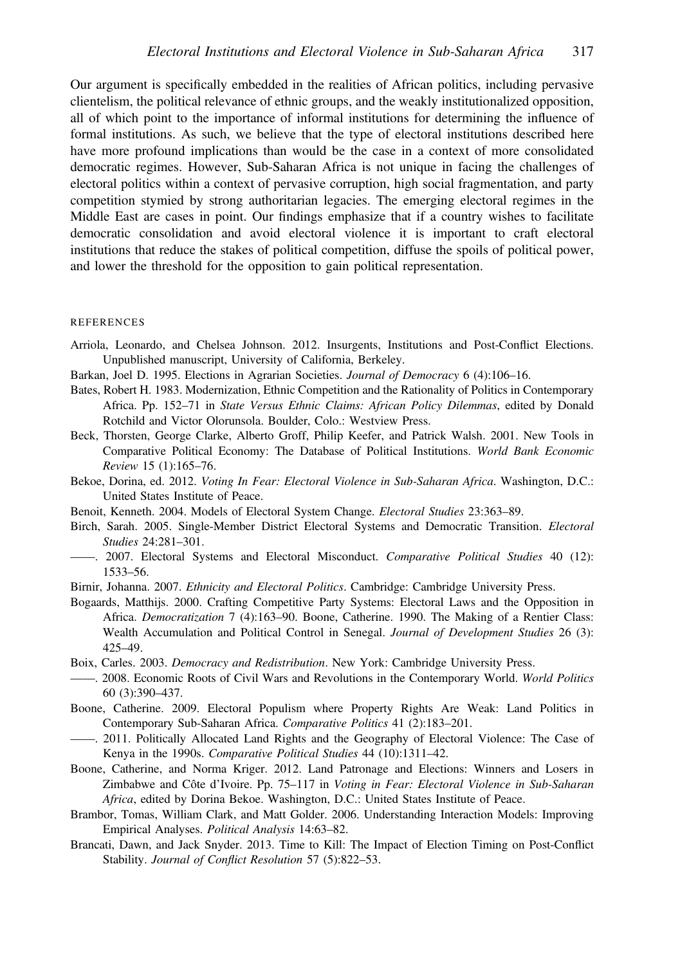<span id="page-20-0"></span>Our argument is specifically embedded in the realities of African politics, including pervasive clientelism, the political relevance of ethnic groups, and the weakly institutionalized opposition, all of which point to the importance of informal institutions for determining the influence of formal institutions. As such, we believe that the type of electoral institutions described here have more profound implications than would be the case in a context of more consolidated democratic regimes. However, Sub-Saharan Africa is not unique in facing the challenges of electoral politics within a context of pervasive corruption, high social fragmentation, and party competition stymied by strong authoritarian legacies. The emerging electoral regimes in the Middle East are cases in point. Our findings emphasize that if a country wishes to facilitate democratic consolidation and avoid electoral violence it is important to craft electoral institutions that reduce the stakes of political competition, diffuse the spoils of political power, and lower the threshold for the opposition to gain political representation.

#### REFERENCES

- Arriola, Leonardo, and Chelsea Johnson. 2012. Insurgents, Institutions and Post-Conflict Elections. Unpublished manuscript, University of California, Berkeley.
- Barkan, Joel D. 1995. Elections in Agrarian Societies. Journal of Democracy 6 (4):106–16.
- Bates, Robert H. 1983. Modernization, Ethnic Competition and the Rationality of Politics in Contemporary Africa. Pp. 152–71 in State Versus Ethnic Claims: African Policy Dilemmas, edited by Donald Rotchild and Victor Olorunsola. Boulder, Colo.: Westview Press.
- Beck, Thorsten, George Clarke, Alberto Groff, Philip Keefer, and Patrick Walsh. 2001. New Tools in Comparative Political Economy: The Database of Political Institutions. World Bank Economic Review 15 (1):165–76.
- Bekoe, Dorina, ed. 2012. Voting In Fear: Electoral Violence in Sub-Saharan Africa. Washington, D.C.: United States Institute of Peace.
- Benoit, Kenneth. 2004. Models of Electoral System Change. Electoral Studies 23:363–89.
- Birch, Sarah. 2005. Single-Member District Electoral Systems and Democratic Transition. Electoral Studies 24:281–301.
- -. 2007. Electoral Systems and Electoral Misconduct. Comparative Political Studies 40 (12): 1533–56.
- Birnir, Johanna. 2007. Ethnicity and Electoral Politics. Cambridge: Cambridge University Press.
- Bogaards, Matthijs. 2000. Crafting Competitive Party Systems: Electoral Laws and the Opposition in Africa. *Democratization* 7 (4):163-90. Boone, Catherine. 1990. The Making of a Rentier Class: Wealth Accumulation and Political Control in Senegal. *Journal of Development Studies* 26 (3): 425–49.
- Boix, Carles. 2003. Democracy and Redistribution. New York: Cambridge University Press.
- ——. 2008. Economic Roots of Civil Wars and Revolutions in the Contemporary World. World Politics 60 (3):390–437.
- Boone, Catherine. 2009. Electoral Populism where Property Rights Are Weak: Land Politics in Contemporary Sub-Saharan Africa. Comparative Politics 41 (2):183–201.
- ——. 2011. Politically Allocated Land Rights and the Geography of Electoral Violence: The Case of Kenya in the 1990s. Comparative Political Studies 44 (10):1311–42.
- Boone, Catherine, and Norma Kriger. 2012. Land Patronage and Elections: Winners and Losers in Zimbabwe and Côte d'Ivoire. Pp. 75–117 in Voting in Fear: Electoral Violence in Sub-Saharan Africa, edited by Dorina Bekoe. Washington, D.C.: United States Institute of Peace.
- Brambor, Tomas, William Clark, and Matt Golder. 2006. Understanding Interaction Models: Improving Empirical Analyses. Political Analysis 14:63–82.
- Brancati, Dawn, and Jack Snyder. 2013. Time to Kill: The Impact of Election Timing on Post-Conflict Stability. Journal of Conflict Resolution 57 (5):822–53.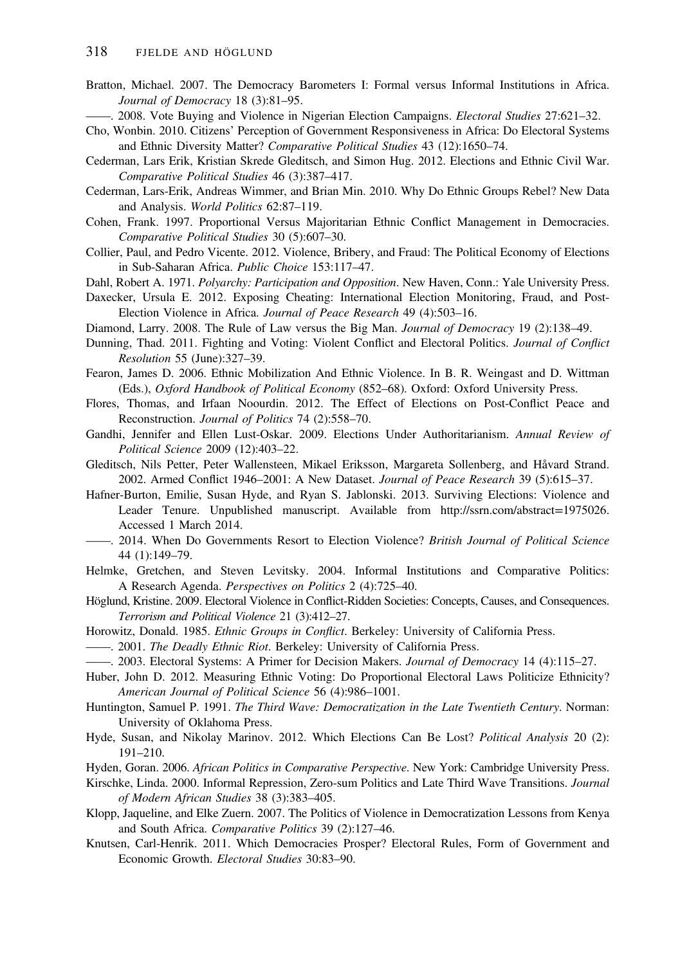- <span id="page-21-0"></span>Bratton, Michael. 2007. The Democracy Barometers I: Formal versus Informal Institutions in Africa. Journal of Democracy 18 (3):81–95.
- ——. 2008. Vote Buying and Violence in Nigerian Election Campaigns. Electoral Studies 27:621–32.
- Cho, Wonbin. 2010. Citizens' Perception of Government Responsiveness in Africa: Do Electoral Systems and Ethnic Diversity Matter? Comparative Political Studies 43 (12):1650–74.
- Cederman, Lars Erik, Kristian Skrede Gleditsch, and Simon Hug. 2012. Elections and Ethnic Civil War. Comparative Political Studies 46 (3):387–417.
- Cederman, Lars-Erik, Andreas Wimmer, and Brian Min. 2010. Why Do Ethnic Groups Rebel? New Data and Analysis. World Politics 62:87–119.
- Cohen, Frank. 1997. Proportional Versus Majoritarian Ethnic Conflict Management in Democracies. Comparative Political Studies 30 (5):607–30.
- Collier, Paul, and Pedro Vicente. 2012. Violence, Bribery, and Fraud: The Political Economy of Elections in Sub-Saharan Africa. Public Choice 153:117–47.
- Dahl, Robert A. 1971. Polyarchy: Participation and Opposition. New Haven, Conn.: Yale University Press.
- Daxecker, Ursula E. 2012. Exposing Cheating: International Election Monitoring, Fraud, and Post-Election Violence in Africa. Journal of Peace Research 49 (4):503–16.
- Diamond, Larry. 2008. The Rule of Law versus the Big Man. Journal of Democracy 19 (2):138–49.
- Dunning, Thad. 2011. Fighting and Voting: Violent Conflict and Electoral Politics. Journal of Conflict Resolution 55 (June):327–39.
- Fearon, James D. 2006. Ethnic Mobilization And Ethnic Violence. In B. R. Weingast and D. Wittman (Eds.), Oxford Handbook of Political Economy (852–68). Oxford: Oxford University Press.
- Flores, Thomas, and Irfaan Noourdin. 2012. The Effect of Elections on Post-Conflict Peace and Reconstruction. Journal of Politics 74 (2):558–70.
- Gandhi, Jennifer and Ellen Lust-Oskar. 2009. Elections Under Authoritarianism. Annual Review of Political Science 2009 (12):403–22.
- Gleditsch, Nils Petter, Peter Wallensteen, Mikael Eriksson, Margareta Sollenberg, and Håvard Strand. 2002. Armed Conflict 1946–2001: A New Dataset. Journal of Peace Research 39 (5):615–37.
- Hafner-Burton, Emilie, Susan Hyde, and Ryan S. Jablonski. 2013. Surviving Elections: Violence and Leader Tenure. Unpublished manuscript. Available from [http://ssrn.com/abstract](http://ssrn.com/abstract=1975026)=1975026. Accessed 1 March 2014.
- ——. 2014. When Do Governments Resort to Election Violence? British Journal of Political Science 44 (1):149–79.
- Helmke, Gretchen, and Steven Levitsky. 2004. Informal Institutions and Comparative Politics: A Research Agenda. Perspectives on Politics 2 (4):725–40.
- Höglund, Kristine. 2009. Electoral Violence in Conflict-Ridden Societies: Concepts, Causes, and Consequences. Terrorism and Political Violence 21 (3):412–27.
- Horowitz, Donald. 1985. Ethnic Groups in Conflict. Berkeley: University of California Press.
- -. 2001. The Deadly Ethnic Riot. Berkeley: University of California Press.
- ---------------- 2003. Electoral Systems: A Primer for Decision Makers. Journal of Democracy 14 (4):115-27.
- Huber, John D. 2012. Measuring Ethnic Voting: Do Proportional Electoral Laws Politicize Ethnicity? American Journal of Political Science 56 (4):986–1001.
- Huntington, Samuel P. 1991. The Third Wave: Democratization in the Late Twentieth Century. Norman: University of Oklahoma Press.
- Hyde, Susan, and Nikolay Marinov. 2012. Which Elections Can Be Lost? Political Analysis 20 (2): 191–210.
- Hyden, Goran. 2006. African Politics in Comparative Perspective. New York: Cambridge University Press.
- Kirschke, Linda. 2000. Informal Repression, Zero-sum Politics and Late Third Wave Transitions. Journal of Modern African Studies 38 (3):383–405.
- Klopp, Jaqueline, and Elke Zuern. 2007. The Politics of Violence in Democratization Lessons from Kenya and South Africa. Comparative Politics 39 (2):127–46.
- Knutsen, Carl-Henrik. 2011. Which Democracies Prosper? Electoral Rules, Form of Government and Economic Growth. Electoral Studies 30:83–90.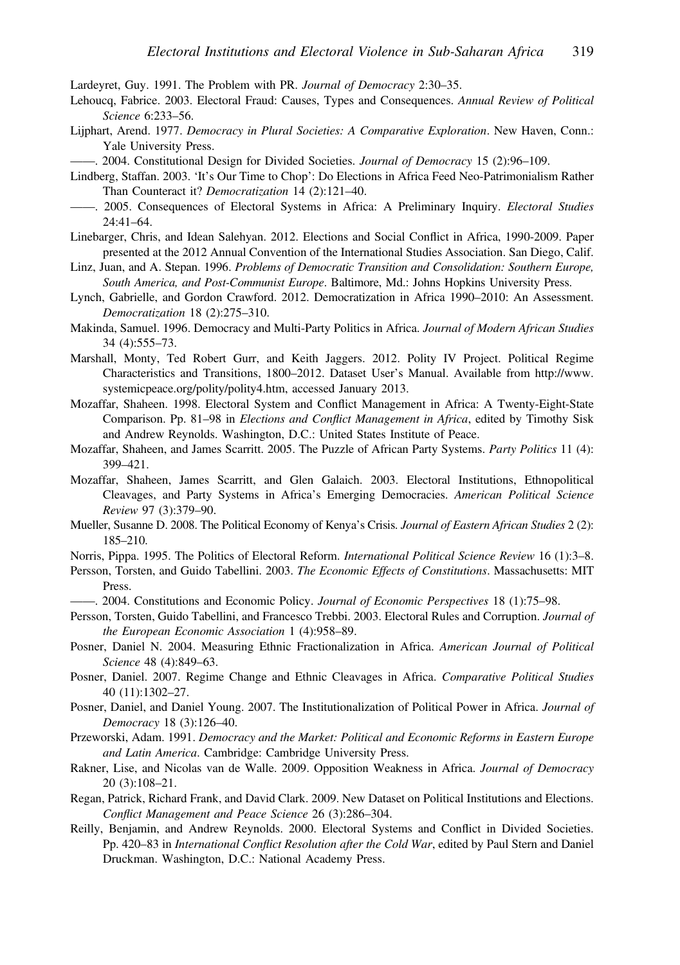<span id="page-22-0"></span>Lardeyret, Guy. 1991. The Problem with PR. Journal of Democracy 2:30-35.

- Lehoucq, Fabrice. 2003. Electoral Fraud: Causes, Types and Consequences. Annual Review of Political Science 6:233–56.
- Lijphart, Arend. 1977. Democracy in Plural Societies: A Comparative Exploration. New Haven, Conn.: Yale University Press.
- -. 2004. Constitutional Design for Divided Societies. Journal of Democracy 15 (2):96–109.
- Lindberg, Staffan. 2003. 'It's Our Time to Chop': Do Elections in Africa Feed Neo-Patrimonialism Rather Than Counteract it? Democratization 14 (2):121-40.
- ——. 2005. Consequences of Electoral Systems in Africa: A Preliminary Inquiry. Electoral Studies 24:41–64.
- Linebarger, Chris, and Idean Salehyan. 2012. Elections and Social Conflict in Africa, 1990-2009. Paper presented at the 2012 Annual Convention of the International Studies Association. San Diego, Calif.
- Linz, Juan, and A. Stepan. 1996. Problems of Democratic Transition and Consolidation: Southern Europe, South America, and Post-Communist Europe. Baltimore, Md.: Johns Hopkins University Press.
- Lynch, Gabrielle, and Gordon Crawford. 2012. Democratization in Africa 1990–2010: An Assessment. Democratization 18 (2):275–310.
- Makinda, Samuel. 1996. Democracy and Multi-Party Politics in Africa. Journal of Modern African Studies 34 (4):555–73.
- Marshall, Monty, Ted Robert Gurr, and Keith Jaggers. 2012. Polity IV Project. Political Regime Characteristics and Transitions, 1800–2012. Dataset User's Manual. Available from http://www. systemicpeace.org/polity/polity4.htm, accessed January 2013.
- Mozaffar, Shaheen. 1998. Electoral System and Conflict Management in Africa: A Twenty-Eight-State Comparison. Pp. 81–98 in Elections and Conflict Management in Africa, edited by Timothy Sisk and Andrew Reynolds. Washington, D.C.: United States Institute of Peace.
- Mozaffar, Shaheen, and James Scarritt. 2005. The Puzzle of African Party Systems. Party Politics 11 (4): 399–421.
- Mozaffar, Shaheen, James Scarritt, and Glen Galaich. 2003. Electoral Institutions, Ethnopolitical Cleavages, and Party Systems in Africa's Emerging Democracies. American Political Science Review 97 (3):379–90.
- Mueller, Susanne D. 2008. The Political Economy of Kenya's Crisis. Journal of Eastern African Studies 2 (2): 185–210.
- Norris, Pippa. 1995. The Politics of Electoral Reform. *International Political Science Review* 16 (1):3–8.
- Persson, Torsten, and Guido Tabellini. 2003. The Economic Effects of Constitutions. Massachusetts: MIT Press.
- ——. 2004. Constitutions and Economic Policy. Journal of Economic Perspectives 18 (1):75–98.
- Persson, Torsten, Guido Tabellini, and Francesco Trebbi. 2003. Electoral Rules and Corruption. Journal of the European Economic Association 1 (4):958–89.
- Posner, Daniel N. 2004. Measuring Ethnic Fractionalization in Africa. American Journal of Political Science 48 (4):849–63.
- Posner, Daniel. 2007. Regime Change and Ethnic Cleavages in Africa. Comparative Political Studies 40 (11):1302–27.
- Posner, Daniel, and Daniel Young. 2007. The Institutionalization of Political Power in Africa. Journal of Democracy 18 (3):126–40.
- Przeworski, Adam. 1991. Democracy and the Market: Political and Economic Reforms in Eastern Europe and Latin America. Cambridge: Cambridge University Press.
- Rakner, Lise, and Nicolas van de Walle. 2009. Opposition Weakness in Africa. Journal of Democracy 20 (3):108–21.
- Regan, Patrick, Richard Frank, and David Clark. 2009. New Dataset on Political Institutions and Elections. Conflict Management and Peace Science 26 (3):286–304.
- Reilly, Benjamin, and Andrew Reynolds. 2000. Electoral Systems and Conflict in Divided Societies. Pp. 420–83 in International Conflict Resolution after the Cold War, edited by Paul Stern and Daniel Druckman. Washington, D.C.: National Academy Press.